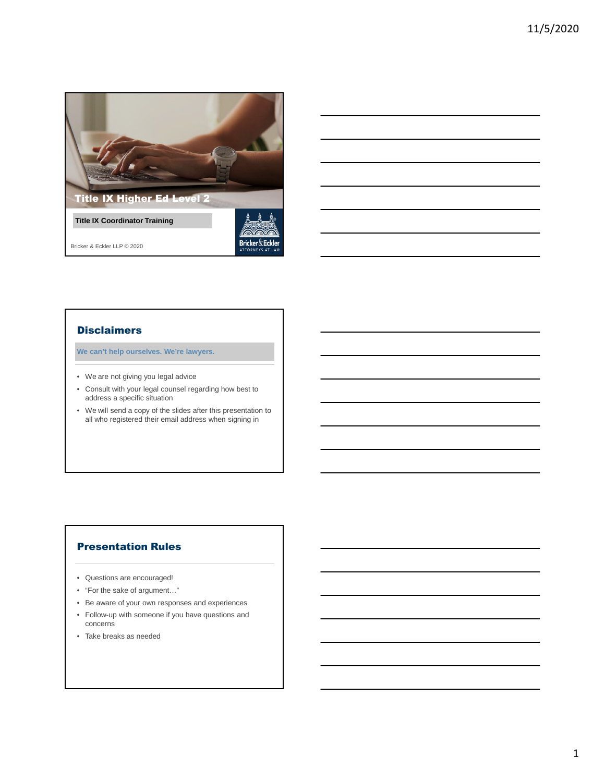

## **Disclaimers**

**We can't help ourselves. We're lawyers.**

- We are not giving you legal advice
- Consult with your legal counsel regarding how best to address a specific situation
- We will send a copy of the slides after this presentation to all who registered their email address when signing in

## Presentation Rules

- Questions are encouraged!
- "For the sake of argument…"
- Be aware of your own responses and experiences
- Follow-up with someone if you have questions and concerns
- Take breaks as needed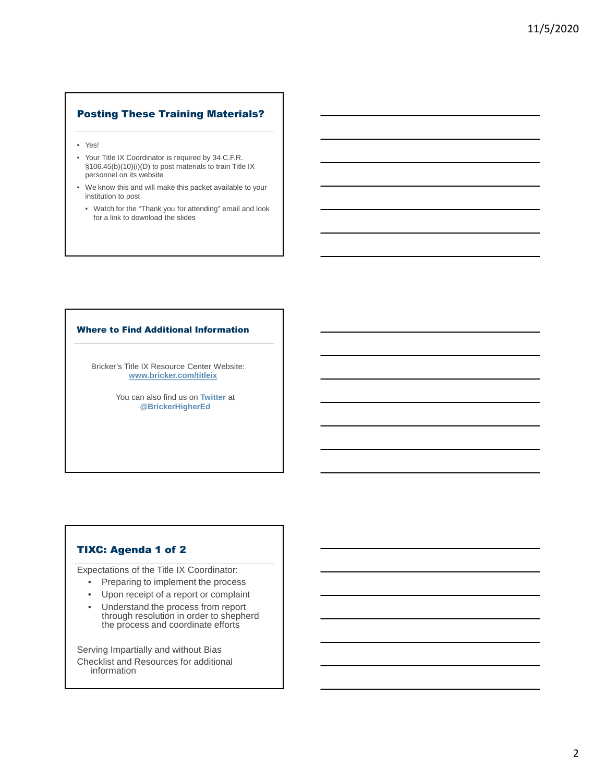## Posting These Training Materials?

- Yes!
- Your Title IX Coordinator is required by 34 C.F.R. §106.45(b)(10)(i)(D) to post materials to train Title IX personnel on its website
- We know this and will make this packet available to your institution to post
	- Watch for the "Thank you for attending" email and look for a link to download the slides

#### Where to Find Additional Information

Bricker's Title IX Resource Center Website: **www.bricker.com/titleix**

> You can also find us on **Twitter** at **@BrickerHigherEd**

## TIXC: Agenda 1 of 2

Expectations of the Title IX Coordinator:

- Preparing to implement the process
- Upon receipt of a report or complaint
- Understand the process from report through resolution in order to shepherd the process and coordinate efforts

Serving Impartially and without Bias Checklist and Resources for additional information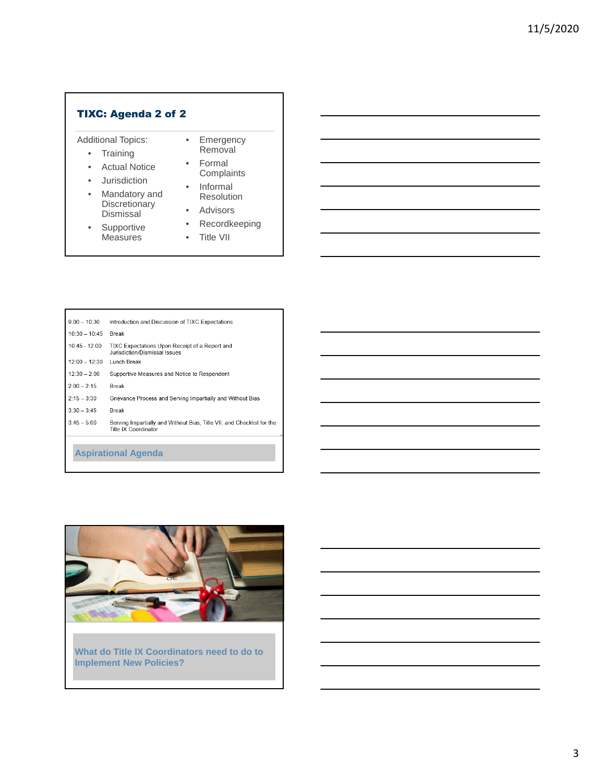## TIXC: Agenda 2 of 2

Additional Topics:

- Training
- Actual Notice
- Jurisdiction
- Mandatory and **Discretionary** Dismissal
- Supportive **Measures**

**Aspirational Agenda**

Complaints • Informal Resolution

• Emergency Removal • Formal

- Advisors
- Recordkeeping
- Title VII

| $9:00 - 10:30$  | Introduction and Discussion of TIXC Expectations                                               |
|-----------------|------------------------------------------------------------------------------------------------|
| $10:30 - 10:45$ | <b>Break</b>                                                                                   |
| 10:45 - 12:00   | TIXC Expectations Upon Receipt of a Report and<br>Jurisdiction/Dismissal Issues                |
| $12:00 - 12:30$ | Lunch Break                                                                                    |
| $12:30 - 2:00$  | Supportive Measures and Notice to Respondent                                                   |
| $2:00 - 2:15$   | <b>Break</b>                                                                                   |
| $2:15 - 3:30$   | Grievance Process and Serving Impartially and Without Bias                                     |
| $3:30 - 3:45$   | <b>Break</b>                                                                                   |
| $3:45 - 5:00$   | Serving Impartially and Without Bias, Title VII, and Checklist for the<br>Title IX Coordinator |
|                 |                                                                                                |



**What do Title IX Coordinators need to do to Implement New Policies?**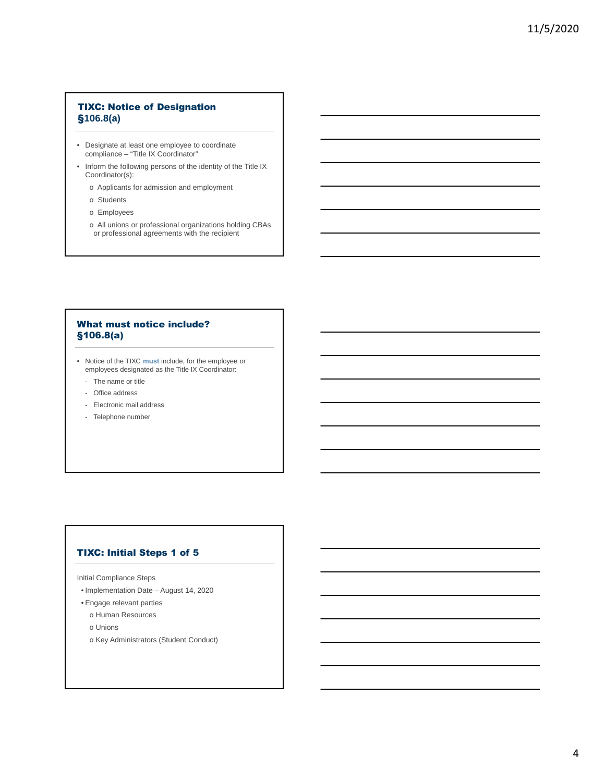## TIXC: Notice of Designation §**106.8(a)**

- Designate at least one employee to coordinate compliance – "Title IX Coordinator"
- Inform the following persons of the identity of the Title IX Coordinator(s):
	- o Applicants for admission and employment
	- o Students
	- o Employees
	- o All unions or professional organizations holding CBAs or professional agreements with the recipient

## What must notice include? §106.8(a)

- Notice of the TIXC **must** include, for the employee or employees designated as the Title IX Coordinator:
	- The name or title
	- Office address
	- Electronic mail address
	- Telephone number

## TIXC: Initial Steps 1 of 5

Initial Compliance Steps

- Implementation Date August 14, 2020
- Engage relevant parties
	- o Human Resources
	- o Unions
	- o Key Administrators (Student Conduct)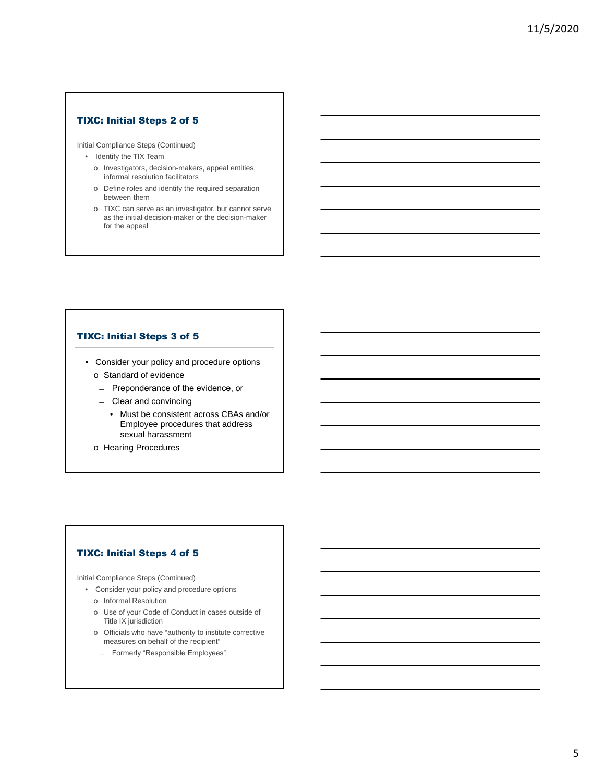## TIXC: Initial Steps 2 of 5

Initial Compliance Steps (Continued)

- Identify the TIX Team
	- o Investigators, decision-makers, appeal entities, informal resolution facilitators
	- o Define roles and identify the required separation between them
	- o TIXC can serve as an investigator, but cannot serve as the initial decision-maker or the decision-maker for the appeal

## TIXC: Initial Steps 3 of 5

- Consider your policy and procedure options o Standard of evidence
	- ̶ Preponderance of the evidence, or
	- ̶ Clear and convincing
		- Must be consistent across CBAs and/or Employee procedures that address sexual harassment
	- o Hearing Procedures

## TIXC: Initial Steps 4 of 5

Initial Compliance Steps (Continued)

- Consider your policy and procedure options
	- o Informal Resolution
	- o Use of your Code of Conduct in cases outside of Title IX jurisdiction
	- o Officials who have "authority to institute corrective measures on behalf of the recipient"
	- ̶ Formerly "Responsible Employees"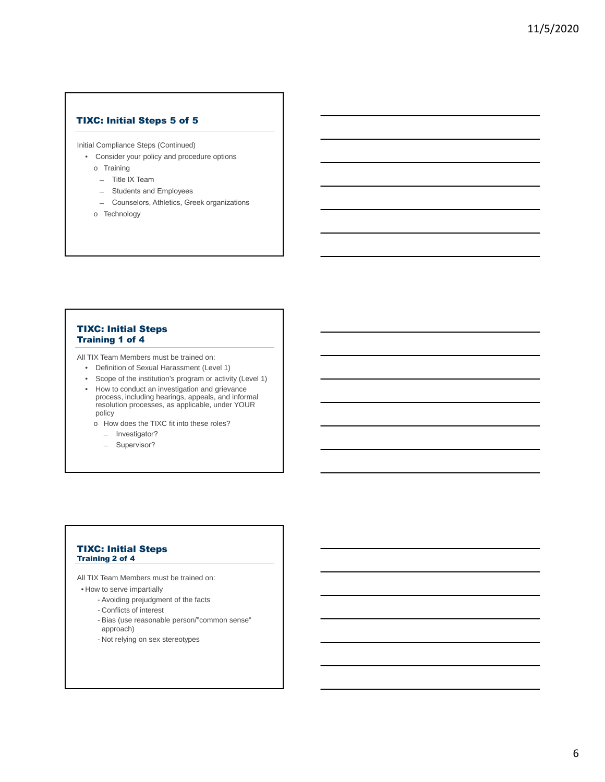## TIXC: Initial Steps 5 of 5

Initial Compliance Steps (Continued)

- Consider your policy and procedure options
	- o Training
	- ̶ Title IX Team
	- ̶ Students and Employees
	- ̶ Counselors, Athletics, Greek organizations
	- o Technology

## TIXC: Initial Steps Training 1 of 4

All TIX Team Members must be trained on:

- Definition of Sexual Harassment (Level 1)
- Scope of the institution's program or activity (Level 1)
- How to conduct an investigation and grievance process, including hearings, appeals, and informal resolution processes, as applicable, under YOUR policy
- o How does the TIXC fit into these roles?
	- ̶ Investigator?
	- ̶ Supervisor?

### TIXC: Initial Steps Training 2 of 4

All TIX Team Members must be trained on:

- How to serve impartially
	- Avoiding prejudgment of the facts
	- Conflicts of interest
	- Bias (use reasonable person/"common sense"
	- approach)
	- Not relying on sex stereotypes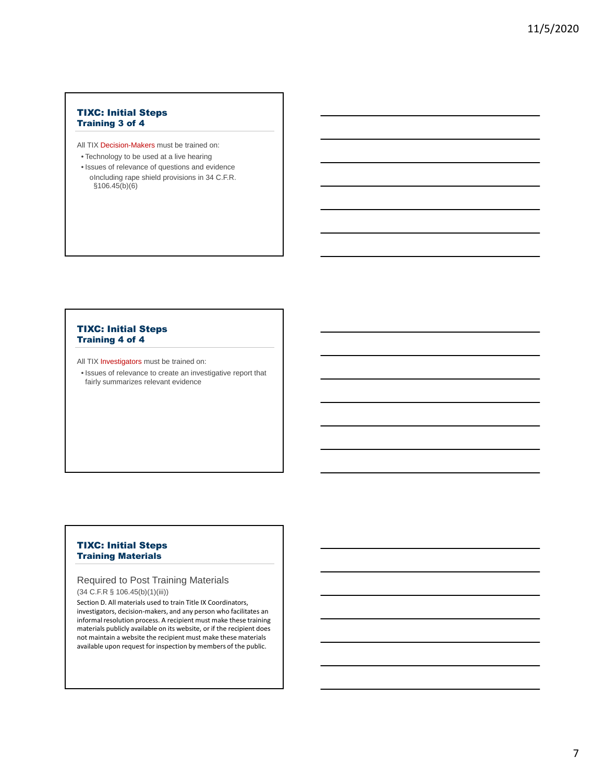## TIXC: Initial Steps Training 3 of 4

All TIX Decision-Makers must be trained on:

- Technology to be used at a live hearing
- Issues of relevance of questions and evidence oIncluding rape shield provisions in 34 C.F.R. §106.45(b)(6)

## TIXC: Initial Steps Training 4 of 4

All TIX Investigators must be trained on:

• Issues of relevance to create an investigative report that fairly summarizes relevant evidence

## TIXC: Initial Steps Training Materials

## Required to Post Training Materials

(34 C.F.R § 106.45(b)(1)(iii))

Section D. All materials used to train Title IX Coordinators, investigators, decision-makers, and any person who facilitates an informal resolution process. A recipient must make these training materials publicly available on its website, or if the recipient does not maintain a website the recipient must make these materials available upon request for inspection by members of the public.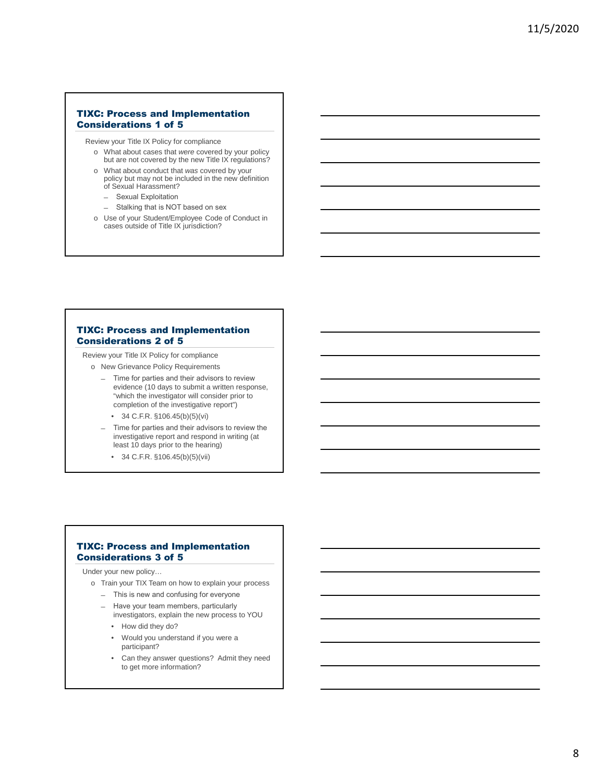## TIXC: Process and Implementation Considerations 1 of 5

Review your Title IX Policy for compliance

- o What about cases that *were* covered by your policy but are not covered by the new Title IX regulations?
- o What about conduct that *was* covered by your policy but may not be included in the new definition of Sexual Harassment?
	- ̶ Sexual Exploitation
	- Stalking that is NOT based on sex
- o Use of your Student/Employee Code of Conduct in cases outside of Title IX jurisdiction?

## TIXC: Process and Implementation Considerations 2 of 5

Review your Title IX Policy for compliance

- o New Grievance Policy Requirements
	- ̶ Time for parties and their advisors to review evidence (10 days to submit a written response, "which the investigator will consider prior to completion of the investigative report")
		- 34 C.F.R. §106.45(b)(5)(vi)
	- ̶ Time for parties and their advisors to review the investigative report and respond in writing (at least 10 days prior to the hearing)
		- 34 C.F.R. §106.45(b)(5)(vii)

## TIXC: Process and Implementation Considerations 3 of 5

Under your new policy…

o Train your TIX Team on how to explain your process

- ̶ This is new and confusing for everyone
- ̶ Have your team members, particularly investigators, explain the new process to YOU
	- How did they do?
	- Would you understand if you were a participant?
	- Can they answer questions? Admit they need to get more information?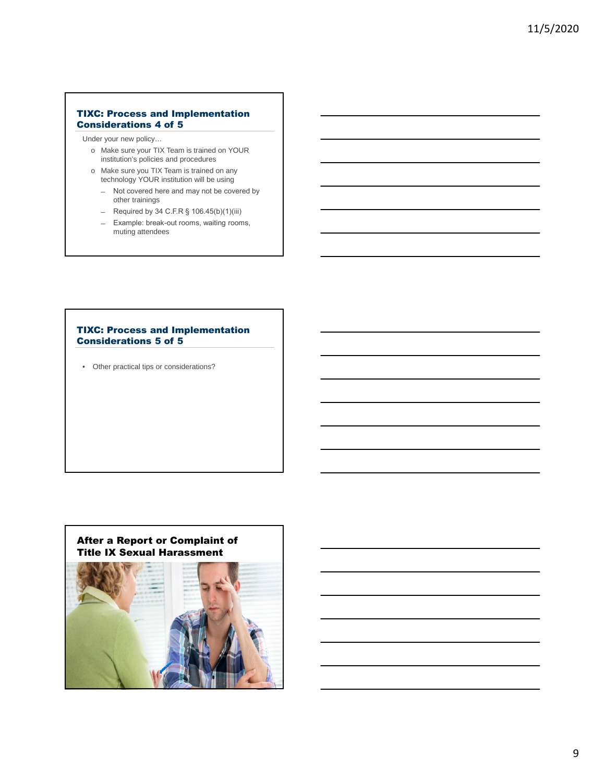## TIXC: Process and Implementation Considerations 4 of 5

Under your new policy…

- o Make sure your TIX Team is trained on YOUR institution's policies and procedures
- o Make sure you TIX Team is trained on any technology YOUR institution will be using
	- ̶ Not covered here and may not be covered by other trainings
	- $-$  Required by 34 C.F.R § 106.45(b)(1)(iii)
	- ̶ Example: break-out rooms, waiting rooms, muting attendees

## TIXC: Process and Implementation Considerations 5 of 5

• Other practical tips or considerations?

## After a Report or Complaint of Title IX Sexual Harassment

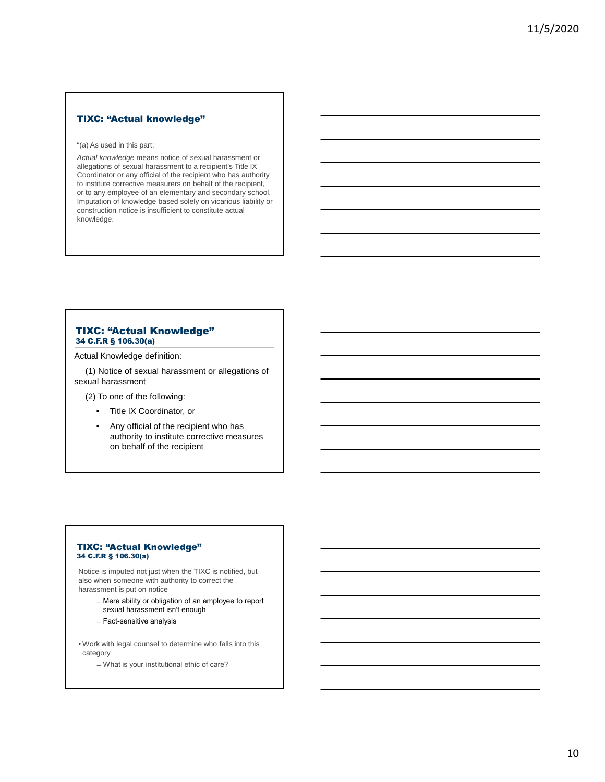## TIXC: "Actual knowledge"

#### "(a) As used in this part:

*Actual knowledge* means notice of sexual harassment or allegations of sexual harassment to a recipient's Title IX Coordinator or any official of the recipient who has authority to institute corrective measurers on behalf of the recipient, or to any employee of an elementary and secondary school. Imputation of knowledge based solely on vicarious liability or construction notice is insufficient to constitute actual knowledge.

#### TIXC: "Actual Knowledge" 34 C.F.R § 106.30(a)

Actual Knowledge definition:

(1) Notice of sexual harassment or allegations of sexual harassment

(2) To one of the following:

- Title IX Coordinator, or
- Any official of the recipient who has authority to institute corrective measures on behalf of the recipient

#### TIXC: "Actual Knowledge" 34 C.F.R § 106.30(a)

Notice is imputed not just when the TIXC is notified, but also when someone with authority to correct the harassment is put on notice

- ̶Mere ability or obligation of an employee to report sexual harassment isn't enough
- ̶Fact-sensitive analysis
- Work with legal counsel to determine who falls into this category
	- ̶What is your institutional ethic of care?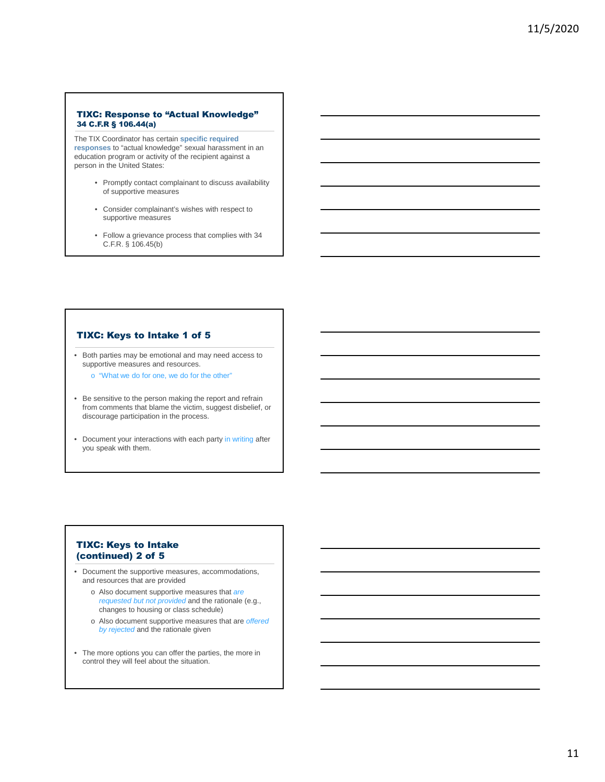#### TIXC: Response to "Actual Knowledge" 34 C.F.R § 106.44(a)

The TIX Coordinator has certain **specific required responses** to "actual knowledge" sexual harassment in an education program or activity of the recipient against a person in the United States:

- Promptly contact complainant to discuss availability of supportive measures
- Consider complainant's wishes with respect to supportive measures
- Follow a grievance process that complies with 34 C.F.R. § 106.45(b)

### TIXC: Keys to Intake 1 of 5

• Both parties may be emotional and may need access to supportive measures and resources.

o "What we do for one, we do for the other"

- Be sensitive to the person making the report and refrain from comments that blame the victim, suggest disbelief, or discourage participation in the process.
- Document your interactions with each party in writing after you speak with them.

## TIXC: Keys to Intake (continued) 2 of 5

- Document the supportive measures, accommodations, and resources that are provided
	- o Also document supportive measures that *are requested but not provided* and the rationale (e.g., changes to housing or class schedule)
	- o Also document supportive measures that are *offered by rejected* and the rationale given
- The more options you can offer the parties, the more in control they will feel about the situation.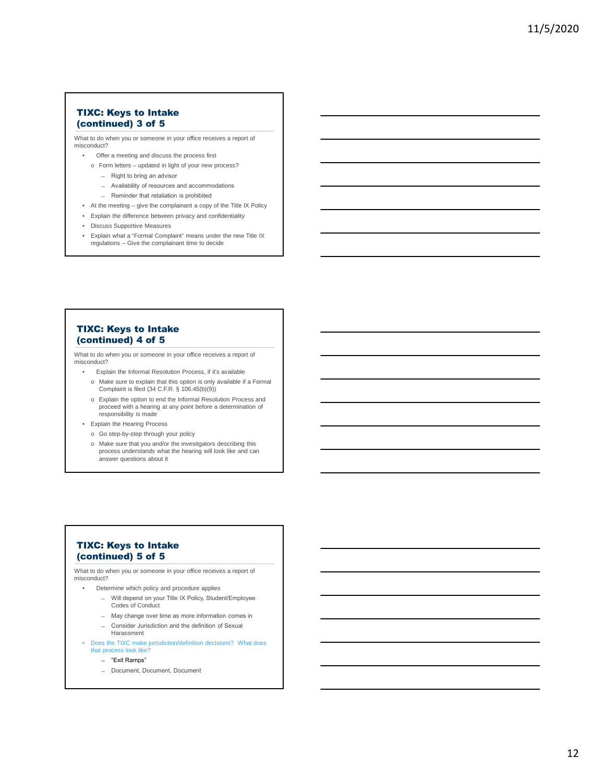## TIXC: Keys to Intake (continued) 3 of 5

What to do when you or someone in your office receives a report of misconduct?

- Offer a meeting and discuss the process first
	- o Form letters updated in light of your new process?
		- ̶ Right to bring an advisor
		- ̶ Availability of resources and accommodations ̶ Reminder that retaliation is prohibited
- At the meeting give the complainant a copy of the Title IX Policy
- Explain the difference between privacy and confidentiality
- Discuss Supportive Measures
- Explain what a "Formal Complaint" means under the new Title IX regulations Give the complainant time to decide

## TIXC: Keys to Intake (continued) 4 of 5

What to do when you or someone in your office receives a report of misconduct?

- Explain the Informal Resolution Process, if it's available
- o Make sure to explain that this option is only available if a Formal Complaint is filed (34 C.F.R. § 106.45(b)(9))
- o Explain the option to end the Informal Resolution Process and proceed with a hearing at any point before a determination of responsibility is made
- Explain the Hearing Process
	- o Go step-by-step through your policy
	- o Make sure that you and/or the investigators describing this process understands what the hearing will look like and can answer questions about it

## TIXC: Keys to Intake (continued) 5 of 5

What to do when you or someone in your office receives a report of misconduct?

- Determine which policy and procedure applies
	- ̶ Will depend on your Title IX Policy, Student/Employee Codes of Conduct
	- ̶ May change over time as more information comes in
	- ̶ Consider Jurisdiction and the definition of Sexual Harassment
- Does the TIXC make jurisdiction/definition decisions? What does that process look like?
	- ̶ "Exit Ramps"
	- ̶ Document, Document, Document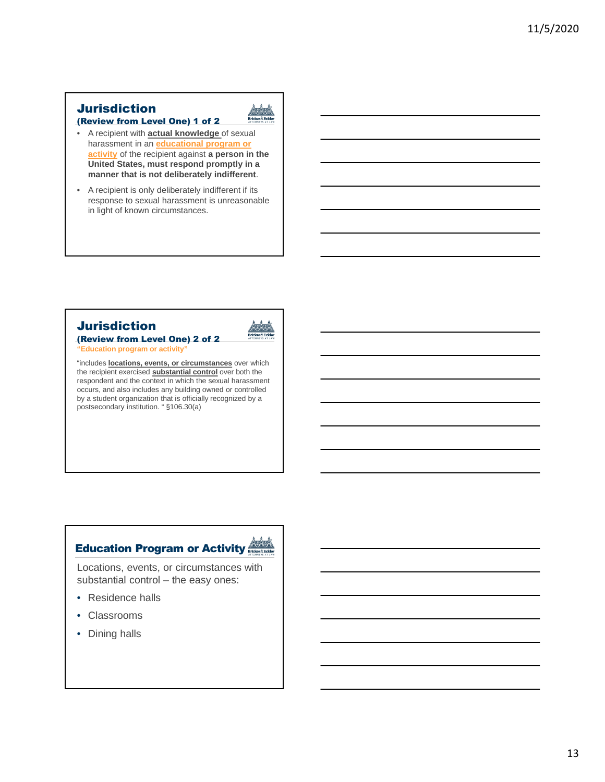# **Jurisdiction**



- A recipient with **actual knowledge** of sexual harassment in an **educational program or activity** of the recipient against **a person in the United States, must respond promptly in a manner that is not deliberately indifferent**.
- A recipient is only deliberately indifferent if its response to sexual harassment is unreasonable in light of known circumstances.

# Jurisdiction



(Review from Level One) 2 of 2 **'Education program or activity** 

"includes **locations, events, or circumstances** over which the recipient exercised **substantial control** over both the respondent and the context in which the sexual harassment occurs, and also includes any building owned or controlled by a student organization that is officially recognized by a postsecondary institution. " §106.30(a)

# **Education Program or Activity Register**



Locations, events, or circumstances with substantial control – the easy ones:

- Residence halls
- Classrooms
- Dining halls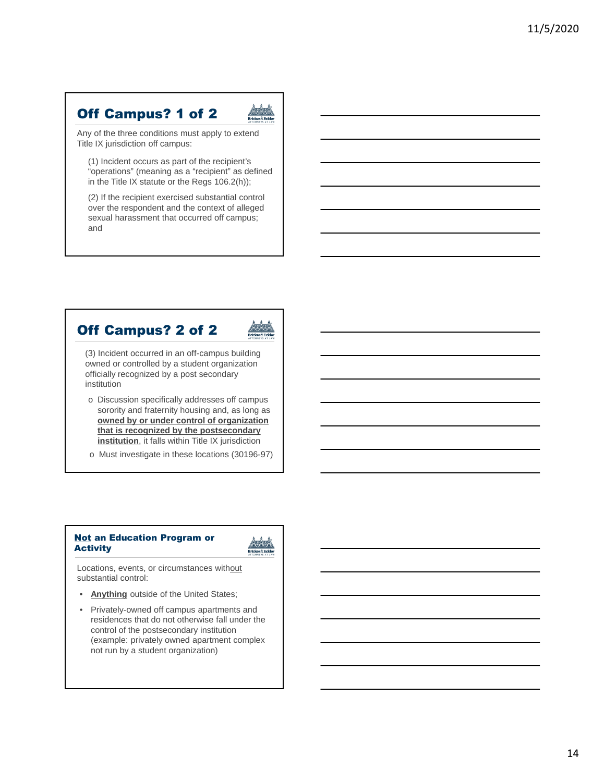# Off Campus? 1 of 2



Any of the three conditions must apply to extend Title IX jurisdiction off campus:

(1) Incident occurs as part of the recipient's "operations" (meaning as a "recipient" as defined in the Title IX statute or the Regs 106.2(h));

(2) If the recipient exercised substantial control over the respondent and the context of alleged sexual harassment that occurred off campus; and

# Off Campus? 2 of 2

(3) Incident occurred in an off-campus building owned or controlled by a student organization officially recognized by a post secondary institution

- o Discussion specifically addresses off campus sorority and fraternity housing and, as long as **owned by or under control of organization that is recognized by the postsecondary institution**, it falls within Title IX jurisdiction
- o Must investigate in these locations (30196-97)

## **Not an Education Program or Activity**



Locations, events, or circumstances without substantial control:

- **Anything** outside of the United States;
- Privately-owned off campus apartments and residences that do not otherwise fall under the control of the postsecondary institution (example: privately owned apartment complex not run by a student organization)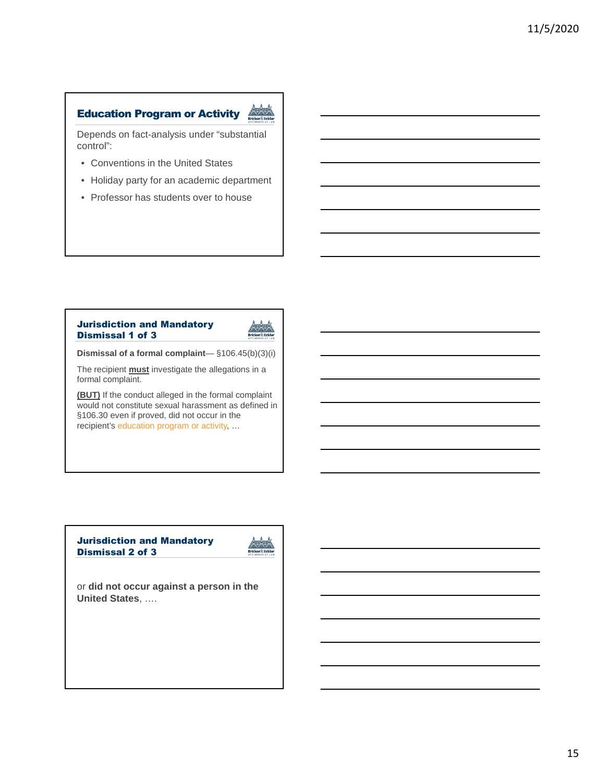## Education Program or Activity



Depends on fact-analysis under "substantial control":

- Conventions in the United States
- Holiday party for an academic department
- Professor has students over to house

## Jurisdiction and Mandatory Dismissal 1 of 3



**Dismissal of a formal complaint**— §106.45(b)(3)(i)

The recipient **must** investigate the allegations in a formal complaint.

**(BUT)** If the conduct alleged in the formal complaint would not constitute sexual harassment as defined in §106.30 even if proved, did not occur in the recipient's education program or activity, …

## Jurisdiction and Mandatory Dismissal 2 of 3



or **did not occur against a person in the United States**, ….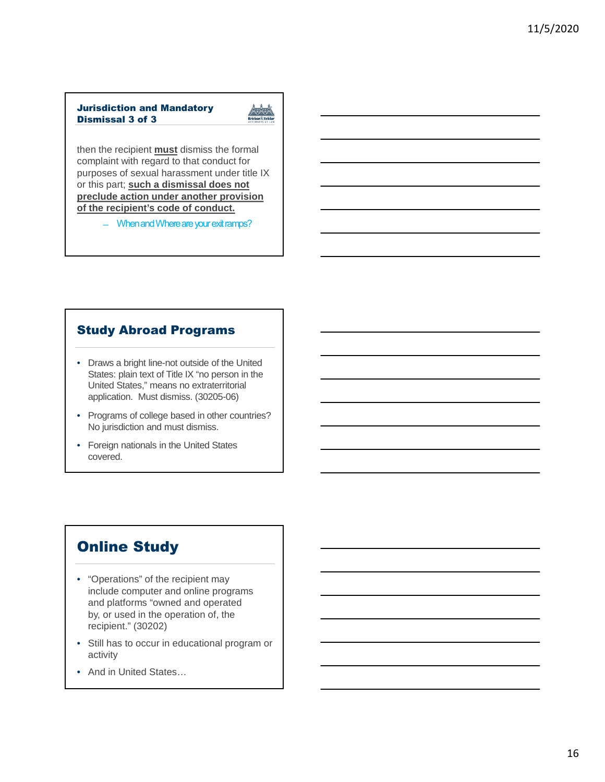## Jurisdiction and Mandatory Dismissal 3 of 3



then the recipient **must** dismiss the formal complaint with regard to that conduct for purposes of sexual harassment under title IX or this part; **such a dismissal does not preclude action under another provision of the recipient's code of conduct.** 

- When and Where are your exit ramps?

## Study Abroad Programs

- Draws a bright line-not outside of the United States: plain text of Title IX "no person in the United States," means no extraterritorial application. Must dismiss. (30205-06)
- Programs of college based in other countries? No jurisdiction and must dismiss.
- Foreign nationals in the United States covered.

# Online Study

- "Operations" of the recipient may include computer and online programs and platforms "owned and operated by, or used in the operation of, the recipient." (30202)
- Still has to occur in educational program or activity
- And in United States…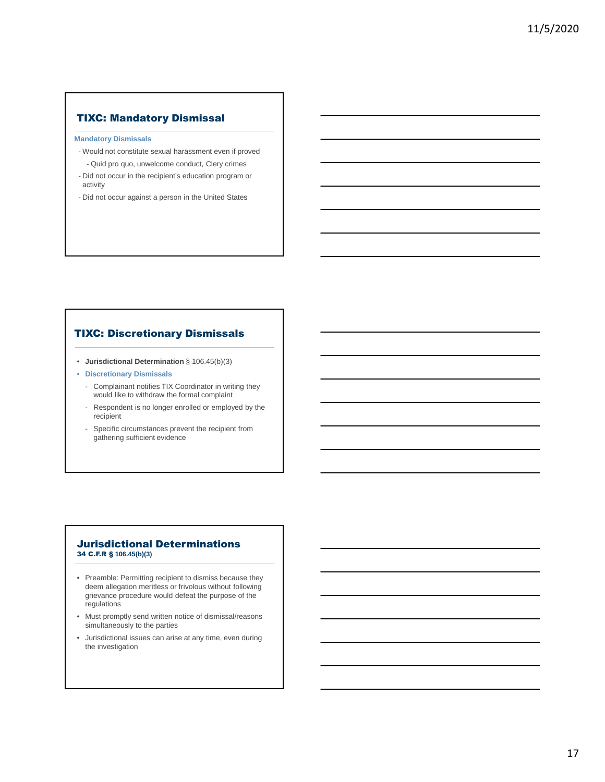## TIXC: Mandatory Dismissal

#### **Mandatory Dismissals**

- Would not constitute sexual harassment even if proved - Quid pro quo, unwelcome conduct, Clery crimes
- Did not occur in the recipient's education program or activity
- Did not occur against a person in the United States

## TIXC: Discretionary Dismissals

- **Jurisdictional Determination** § 106.45(b)(3)
- **Discretionary Dismissals**
	- Complainant notifies TIX Coordinator in writing they would like to withdraw the formal complaint
	- Respondent is no longer enrolled or employed by the recipient
	- Specific circumstances prevent the recipient from gathering sufficient evidence

### Jurisdictional Determinations 34 C.F.R § **106.45(b)(3)**

- Preamble: Permitting recipient to dismiss because they deem allegation meritless or frivolous without following grievance procedure would defeat the purpose of the regulations
- Must promptly send written notice of dismissal/reasons simultaneously to the parties
- Jurisdictional issues can arise at any time, even during the investigation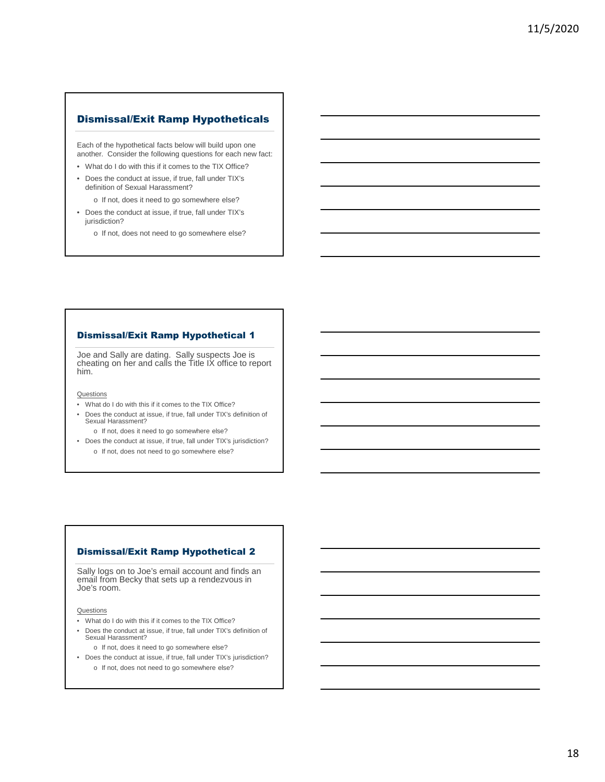Each of the hypothetical facts below will build upon one another. Consider the following questions for each new fact:

- What do I do with this if it comes to the TIX Office?
- Does the conduct at issue, if true, fall under TIX's definition of Sexual Harassment?
	- o If not, does it need to go somewhere else?
- Does the conduct at issue, if true, fall under TIX's jurisdiction?
	- o If not, does not need to go somewhere else?

#### Dismissal/Exit Ramp Hypothetical 1

Joe and Sally are dating. Sally suspects Joe is cheating on her and calls the Title IX office to report him.

**Questions** 

- What do I do with this if it comes to the TIX Office?
- Does the conduct at issue, if true, fall under TIX's definition of Sexual Harassment?
	- o If not, does it need to go somewhere else?
- Does the conduct at issue, if true, fall under TIX's jurisdiction? o If not, does not need to go somewhere else?

#### Dismissal/Exit Ramp Hypothetical 2

Sally logs on to Joe's email account and finds an email from Becky that sets up a rendezvous in Joe's room.

**Questions** 

- What do I do with this if it comes to the TIX Office?
- Does the conduct at issue, if true, fall under TIX's definition of Sexual Harassment?

o If not, does it need to go somewhere else?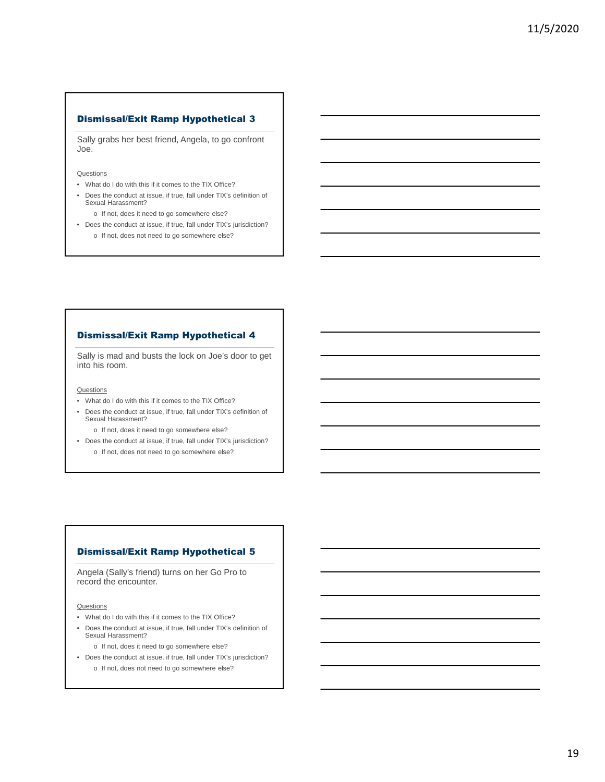Sally grabs her best friend, Angela, to go confront Joe.

#### **Questions**

- What do I do with this if it comes to the TIX Office?
- Does the conduct at issue, if true, fall under TIX's definition of Sexual Harassment?
	- o If not, does it need to go somewhere else?
- Does the conduct at issue, if true, fall under TIX's jurisdiction? o If not, does not need to go somewhere else?

### Dismissal/Exit Ramp Hypothetical 4

Sally is mad and busts the lock on Joe's door to get into his room.

#### **Questions**

- What do I do with this if it comes to the TIX Office?
- Does the conduct at issue, if true, fall under TIX's definition of Sexual Harassment?
	- o If not, does it need to go somewhere else?
- Does the conduct at issue, if true, fall under TIX's jurisdiction? o If not, does not need to go somewhere else?

#### Dismissal/Exit Ramp Hypothetical 5

Angela (Sally's friend) turns on her Go Pro to record the encounter.

**Questions** 

- What do I do with this if it comes to the TIX Office?
- Does the conduct at issue, if true, fall under TIX's definition of Sexual Harassment?

o If not, does it need to go somewhere else?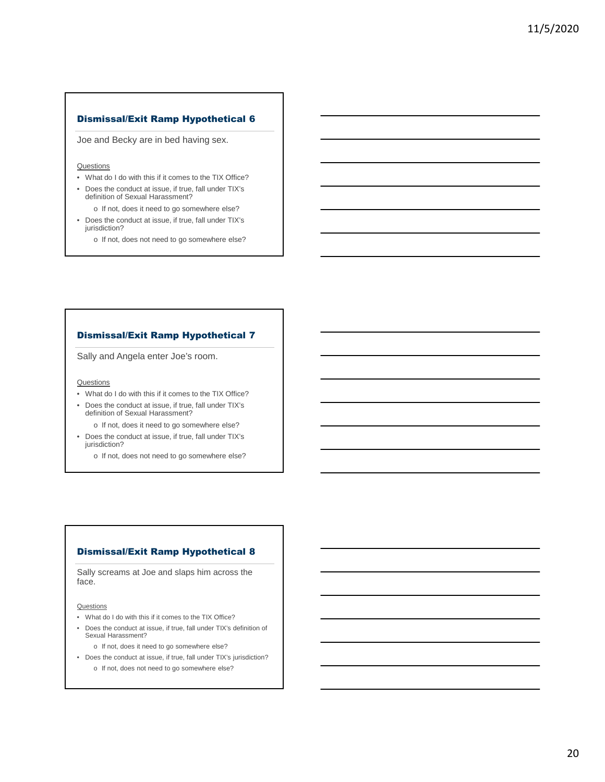Joe and Becky are in bed having sex.

#### **Questions**

- What do I do with this if it comes to the TIX Office?
- Does the conduct at issue, if true, fall under TIX's definition of Sexual Harassment? o If not, does it need to go somewhere else?
- Does the conduct at issue, if true, fall under TIX's jurisdiction?
	- o If not, does not need to go somewhere else?

#### Dismissal/Exit Ramp Hypothetical 7

Sally and Angela enter Joe's room.

**Questions** 

- What do I do with this if it comes to the TIX Office?
- Does the conduct at issue, if true, fall under TIX's definition of Sexual Harassment?
	- o If not, does it need to go somewhere else?
- Does the conduct at issue, if true, fall under TIX's jurisdiction?
	- o If not, does not need to go somewhere else?

#### Dismissal/Exit Ramp Hypothetical 8

Sally screams at Joe and slaps him across the face.

**Questions** 

- What do I do with this if it comes to the TIX Office?
- Does the conduct at issue, if true, fall under TIX's definition of Sexual Harassment?

o If not, does it need to go somewhere else?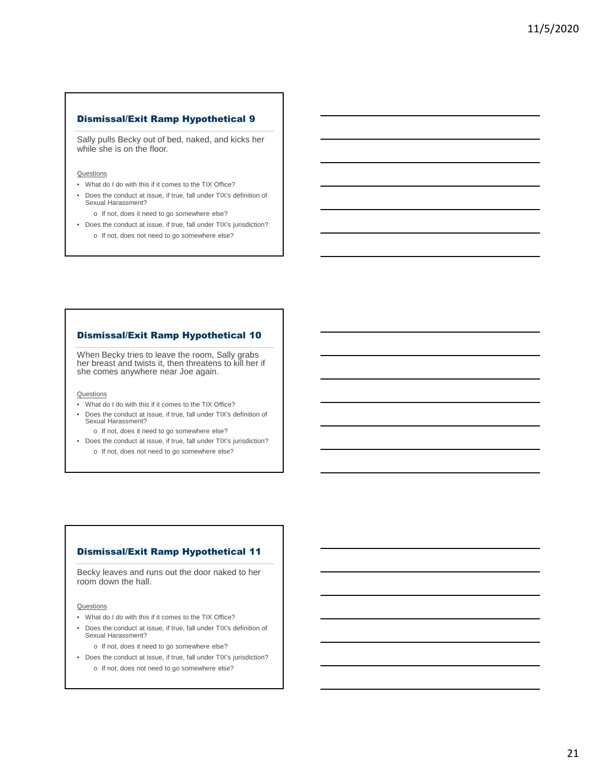Sally pulls Becky out of bed, naked, and kicks her while she is on the floor.

#### **Questions**

- What do I do with this if it comes to the TIX Office?
- Does the conduct at issue, if true, fall under TIX's definition of Sexual Harassment?
	- o If not, does it need to go somewhere else?
- Does the conduct at issue, if true, fall under TIX's jurisdiction? o If not, does not need to go somewhere else?

## Dismissal/Exit Ramp Hypothetical 10

When Becky tries to leave the room, Sally grabs her breast and twists it, then threatens to kill her if she comes anywhere near Joe again.

#### **Questions**

- What do I do with this if it comes to the TIX Office?
- Does the conduct at issue, if true, fall under TIX's definition of Sexual Harassment?
	- o If not, does it need to go somewhere else?
- Does the conduct at issue, if true, fall under TIX's jurisdiction? o If not, does not need to go somewhere else?

#### Dismissal/Exit Ramp Hypothetical 11

Becky leaves and runs out the door naked to her room down the hall.

**Questions** 

- What do I do with this if it comes to the TIX Office?
- Does the conduct at issue, if true, fall under TIX's definition of Sexual Harassment?

o If not, does it need to go somewhere else?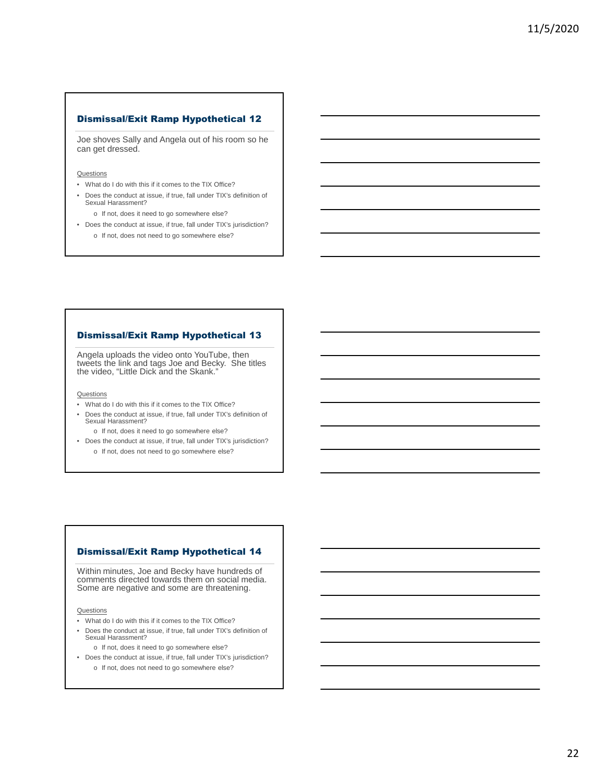Joe shoves Sally and Angela out of his room so he can get dressed.

#### **Questions**

- What do I do with this if it comes to the TIX Office?
- Does the conduct at issue, if true, fall under TIX's definition of Sexual Harassment?
	- o If not, does it need to go somewhere else?
- Does the conduct at issue, if true, fall under TIX's jurisdiction? o If not, does not need to go somewhere else?

## Dismissal/Exit Ramp Hypothetical 13

Angela uploads the video onto YouTube, then tweets the link and tags Joe and Becky. She titles the video, "Little Dick and the Skank."

#### **Questions**

- What do I do with this if it comes to the TIX Office?
- Does the conduct at issue, if true, fall under TIX's definition of Sexual Harassment?
	- o If not, does it need to go somewhere else?
- Does the conduct at issue, if true, fall under TIX's jurisdiction? o If not, does not need to go somewhere else?

#### Dismissal/Exit Ramp Hypothetical 14

Within minutes, Joe and Becky have hundreds of comments directed towards them on social media. Some are negative and some are threatening.

**Questions** 

- What do I do with this if it comes to the TIX Office?
- Does the conduct at issue, if true, fall under TIX's definition of Sexual Harassment?

o If not, does it need to go somewhere else?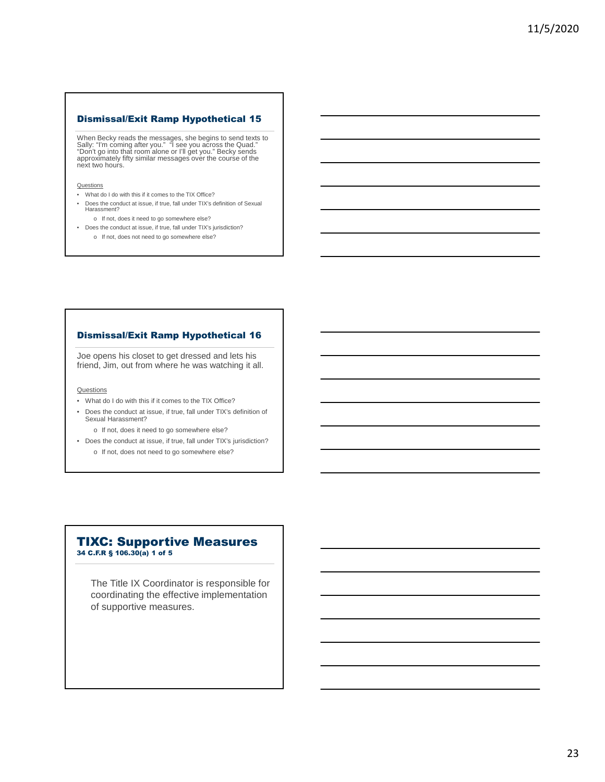When Becky reads the messages, she begins to send texts to<br>Sally: "I'm coming after you." "I see you across the Quad."<br>"Don't go into that room alone or I'll get you." Becky sends<br>approximately fifty similar messages over

**Questions** 

- What do I do with this if it comes to the TIX Office?
- Does the conduct at issue, if true, fall under TIX's definition of Sexual Harassment?
	- o If not, does it need to go somewhere else?
- Does the conduct at issue, if true, fall under TIX's jurisdiction? o If not, does not need to go somewhere else?

## Dismissal/Exit Ramp Hypothetical 16

Joe opens his closet to get dressed and lets his friend, Jim, out from where he was watching it all.

**Questions** 

- What do I do with this if it comes to the TIX Office?
- Does the conduct at issue, if true, fall under TIX's definition of Sexual Harassment?
	- o If not, does it need to go somewhere else?
- Does the conduct at issue, if true, fall under TIX's jurisdiction? o If not, does not need to go somewhere else?

## TIXC: Supportive Measures 34 C.F.R § 106.30(a) 1 of 5

The Title IX Coordinator is responsible for coordinating the effective implementation of supportive measures.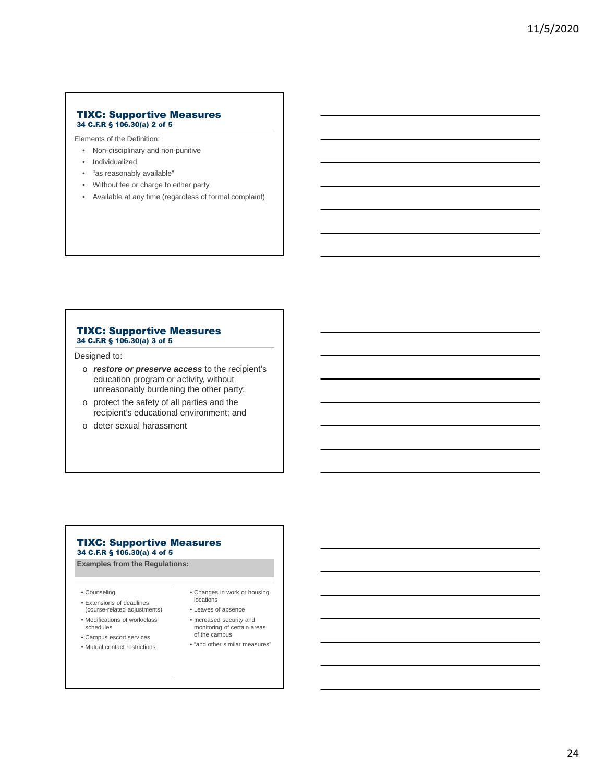#### TIXC: Supportive Measures 34 C.F.R § 106.30(a) 2 of 5

Elements of the Definition:

- Non-disciplinary and non-punitive
- Individualized
- "as reasonably available"
- Without fee or charge to either party
- Available at any time (regardless of formal complaint)

#### TIXC: Supportive Measures 34 C.F.R § 106.30(a) 3 of 5

Designed to:

- o *restore or preserve access* to the recipient's education program or activity, without unreasonably burdening the other party;
- o protect the safety of all parties and the recipient's educational environment; and
- o deter sexual harassment

#### TIXC: Supportive Measures 34 C.F.R § 106.30(a) 4 of 5

**Examples from the Regulations:**

- Counseling
- Extensions of deadlines (course-related adjustments)
- Modifications of work/class schedules
- Campus escort services
- Mutual contact restrictions
- Changes in work or housing locations
- Leaves of absence
- Increased security and monitoring of certain areas of the campus
- "and other similar measures"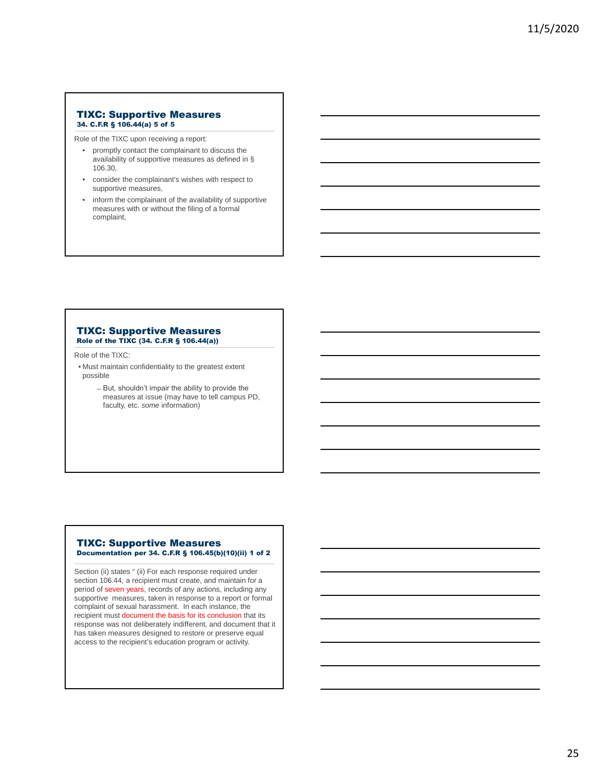#### TIXC: Supportive Measures 34. C.F.R § 106.44(a) 5 of 5

Role of the TIXC upon receiving a report:

- promptly contact the complainant to discuss the availability of supportive measures as defined in § 106.30,
- consider the complainant's wishes with respect to supportive measures,
- inform the complainant of the availability of supportive measures with or without the filing of a formal complaint,

#### TIXC: Supportive Measures Role of the TIXC (34. C.F.R § 106.44(a))

Role of the TIXC:

- Must maintain confidentiality to the greatest extent possible
	- But, shouldn't impair the ability to provide the measures at issue (may have to tell campus PD, faculty, etc. *some* information)

### TIXC: Supportive Measures Documentation per 34. C.F.R § 106.45(b)(10)(ii) 1 of 2

Section (ii) states " (ii) For each response required under section 106.44, a recipient must create, and maintain for a period of seven years, records of any actions, including any supportive measures, taken in response to a report or formal complaint of sexual harassment. In each instance, the recipient must document the basis for its conclusion that its response was not deliberately indifferent, and document that it has taken measures designed to restore or preserve equal access to the recipient's education program or activity.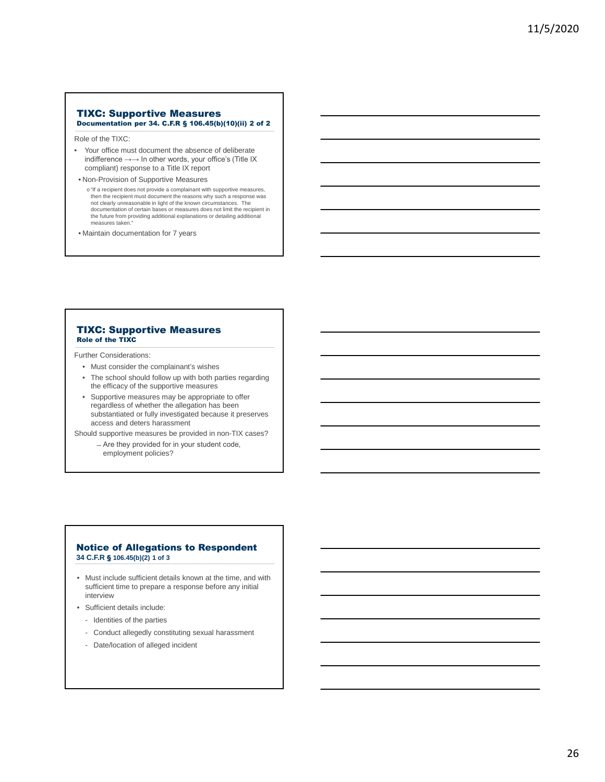#### TIXC: Supportive Measures Documentation per 34. C.F.R § 106.45(b)(10)(ii) 2 of 2

Role of the TIXC:

- Your office must document the absence of deliberate indifference →→ In other words, your office's (Title IX compliant) response to a Title IX report
- Non-Provision of Supportive Measures
- o "If a recipient does not provide a complainant with supportive measures, then the recipient must document the reasons why such a response was not clearly unreasonable in light of the known circumstances. The documentation of certain bases or measures does not limit the recipient in the future from providing additional explanations or detailing additional measures taken."
- Maintain documentation for 7 years

#### TIXC: Supportive Measures Role of the TIXC

Further Considerations:

- Must consider the complainant's wishes
- The school should follow up with both parties regarding the efficacy of the supportive measures
- Supportive measures may be appropriate to offer regardless of whether the allegation has been substantiated or fully investigated because it preserves access and deters harassment

Should supportive measures be provided in non-TIX cases?

̶Are they provided for in your student code, employment policies?

#### Notice of Allegations to Respondent **34 C.F.R** § **106.45(b)(2) 1 of 3**

- Must include sufficient details known at the time, and with sufficient time to prepare a response before any initial interview
- Sufficient details include:
	- Identities of the parties
	- Conduct allegedly constituting sexual harassment
	- Date/location of alleged incident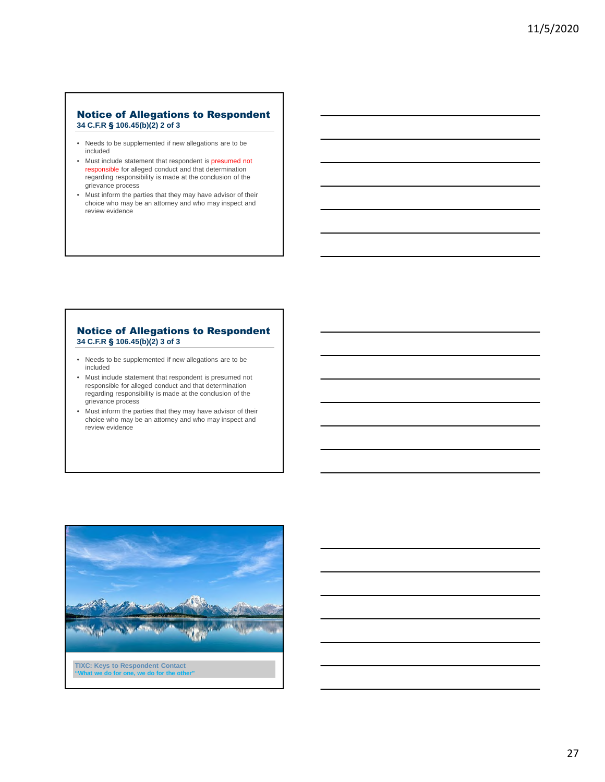### Notice of Allegations to Respondent **34 C.F.R** § **106.45(b)(2) 2 of 3**

- Needs to be supplemented if new allegations are to be included
- Must include statement that respondent is presumed not responsible for alleged conduct and that determination regarding responsibility is made at the conclusion of the grievance process
- Must inform the parties that they may have advisor of their choice who may be an attorney and who may inspect and review evidence

### Notice of Allegations to Respondent **34 C.F.R** § **106.45(b)(2) 3 of 3**

- Needs to be supplemented if new allegations are to be included
- Must include statement that respondent is presumed not responsible for alleged conduct and that determination regarding responsibility is made at the conclusion of the grievance process
- Must inform the parties that they may have advisor of their choice who may be an attorney and who may inspect and review evidence

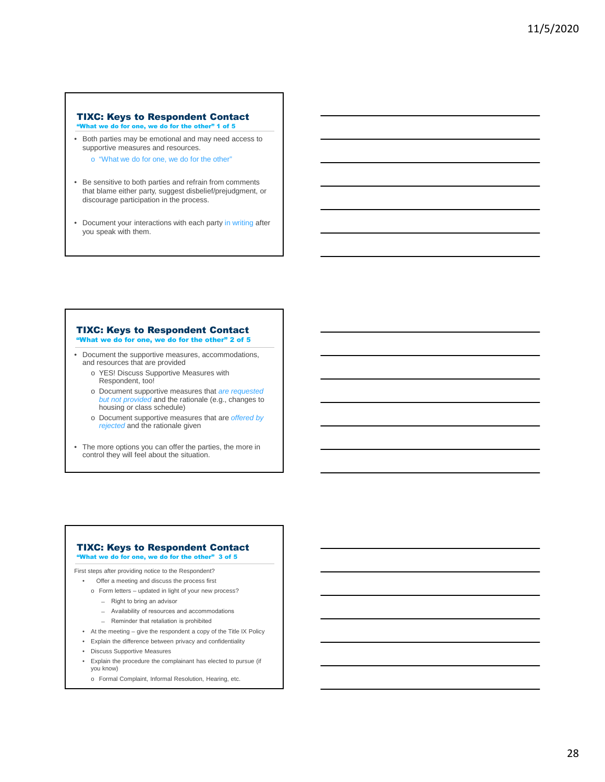#### TIXC: Keys to Respondent Contact "What we do for one, we do for the other" 1 of 5

• Both parties may be emotional and may need access to supportive measures and resources.

o "What we do for one, we do for the other"

- Be sensitive to both parties and refrain from comments that blame either party, suggest disbelief/prejudgment, or discourage participation in the process.
- Document your interactions with each party in writing after you speak with them.

#### TIXC: Keys to Respondent Contact "What we do for one, we do for the other" 2 of 5

- Document the supportive measures, accommodations, and resources that are provided
	- o YES! Discuss Supportive Measures with Respondent, too!
	- o Document supportive measures that *are requested but not provided* and the rationale (e.g., changes to housing or class schedule)
	- o Document supportive measures that are *offered by rejected* and the rationale given
- The more options you can offer the parties, the more in control they will feel about the situation.

#### TIXC: Keys to Respondent Contact "What we do for one, we do for the other" 3 of 5

First steps after providing notice to the Respondent?

- Offer a meeting and discuss the process first
	- o Form letters updated in light of your new process?
		- ̶ Right to bring an advisor
		- ̶ Availability of resources and accommodations
		- ̶ Reminder that retaliation is prohibited
- At the meeting give the respondent a copy of the Title IX Policy
- Explain the difference between privacy and confidentiality
- Discuss Supportive Measures
- Explain the procedure the complainant has elected to pursue (if you know)
	- o Formal Complaint, Informal Resolution, Hearing, etc.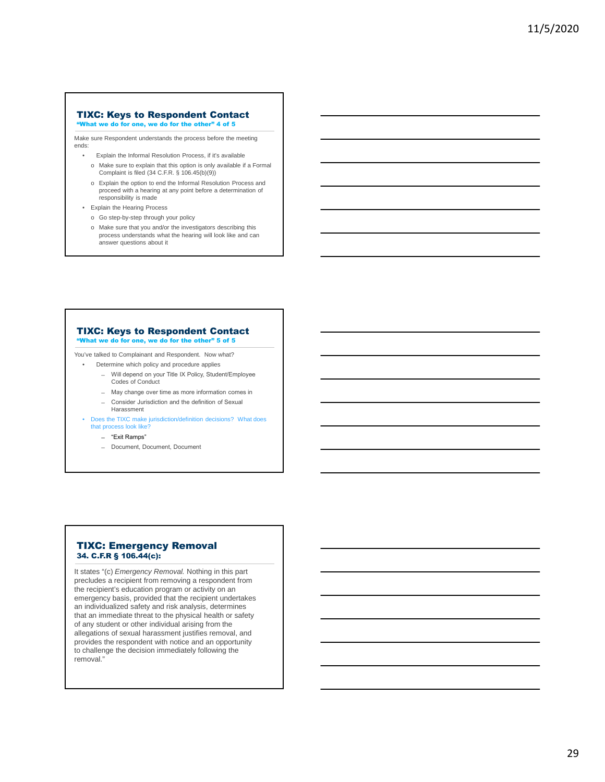## TIXC: Keys to Respondent Contact

"What we do for one, we do for the other" 4 of 5

Make sure Respondent understands the process before the meeting ends:

- Explain the Informal Resolution Process, if it's available
- o Make sure to explain that this option is only available if a Formal Complaint is filed (34 C.F.R. § 106.45(b)(9))
- o Explain the option to end the Informal Resolution Process and proceed with a hearing at any point before a determination of responsibility is made
- Explain the Hearing Process
	- o Go step-by-step through your policy
	- o Make sure that you and/or the investigators describing this process understands what the hearing will look like and can answer questions about it

#### TIXC: Keys to Respondent Contact "What we do for one, we do for the other" 5 of 5

You've talked to Complainant and Respondent. Now what?

• Determine which policy and procedure applies

- ̶ Will depend on your Title IX Policy, Student/Employee Codes of Conduct
- ̶ May change over time as more information comes in
- ̶ Consider Jurisdiction and the definition of Sexual Harassment
- Does the TIXC make jurisdiction/definition decisions? What does that process look like?
	- ̶ "Exit Ramps"
	- ̶ Document, Document, Document

### TIXC: Emergency Removal 34. C.F.R § 106.44(c):

It states "(c) *Emergency Removal.* Nothing in this part precludes a recipient from removing a respondent from the recipient's education program or activity on an emergency basis, provided that the recipient undertakes an individualized safety and risk analysis, determines that an immediate threat to the physical health or safety of any student or other individual arising from the allegations of sexual harassment justifies removal, and provides the respondent with notice and an opportunity to challenge the decision immediately following the removal."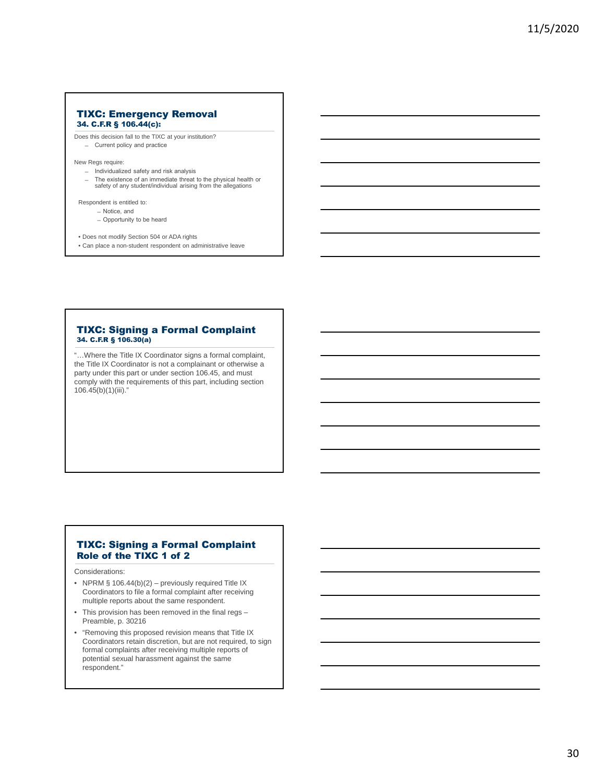#### TIXC: Emergency Removal 34. C.F.R § 106.44(c):

Does this decision fall to the TIXC at your institution? ̶ Current policy and practice

New Regs require:

- ̶ Individualized safety and risk analysis
- ̶ The existence of an immediate threat to the physical health or safety of any student/individual arising from the allegations

Respondent is entitled to:

- ̶Notice, and
- Opportunity to be heard
- Does not modify Section 504 or ADA rights
- Can place a non-student respondent on administrative leave

#### TIXC: Signing a Formal Complaint 34. C.F.R § 106.30(a)

"…Where the Title IX Coordinator signs a formal complaint, the Title IX Coordinator is not a complainant or otherwise a party under this part or under section 106.45, and must comply with the requirements of this part, including section 106.45(b)(1)(iii)."

## TIXC: Signing a Formal Complaint Role of the TIXC 1 of 2

Considerations:

- NPRM § 106.44(b)(2) previously required Title IX Coordinators to file a formal complaint after receiving multiple reports about the same respondent.
- This provision has been removed in the final regs Preamble, p. 30216
- "Removing this proposed revision means that Title IX Coordinators retain discretion, but are not required, to sign formal complaints after receiving multiple reports of potential sexual harassment against the same respondent."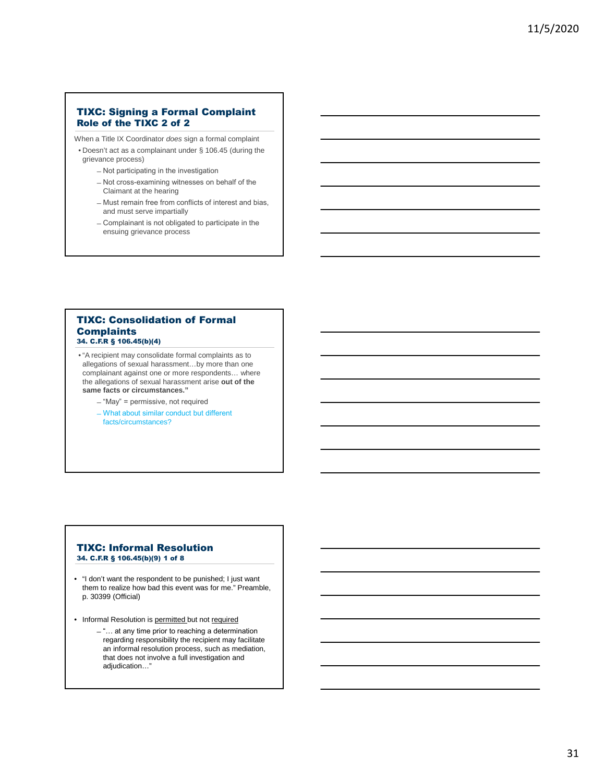## TIXC: Signing a Formal Complaint Role of the TIXC 2 of 2

When a Title IX Coordinator *does* sign a formal complaint

- Doesn't act as a complainant under § 106.45 (during the grievance process)
	- ̶Not participating in the investigation
	- ̶Not cross-examining witnesses on behalf of the Claimant at the hearing
	- ̶Must remain free from conflicts of interest and bias, and must serve impartially
	- ̶Complainant is not obligated to participate in the ensuing grievance process

### TIXC: Consolidation of Formal **Complaints** 34. C.F.R § 106.45(b)(4)

- "A recipient may consolidate formal complaints as to allegations of sexual harassment…by more than one complainant against one or more respondents… where the allegations of sexual harassment arise **out of the same facts or circumstances."**
	- ̶"May" = permissive, not required
	- ̶What about similar conduct but different facts/circumstances?

#### TIXC: Informal Resolution 34. C.F.R § 106.45(b)(9) 1 of 8

- "I don't want the respondent to be punished; I just want them to realize how bad this event was for me." Preamble, p. 30399 (Official)
- Informal Resolution is permitted but not required
	- ̶"… at any time prior to reaching a determination regarding responsibility the recipient may facilitate an informal resolution process, such as mediation, that does not involve a full investigation and adjudication…"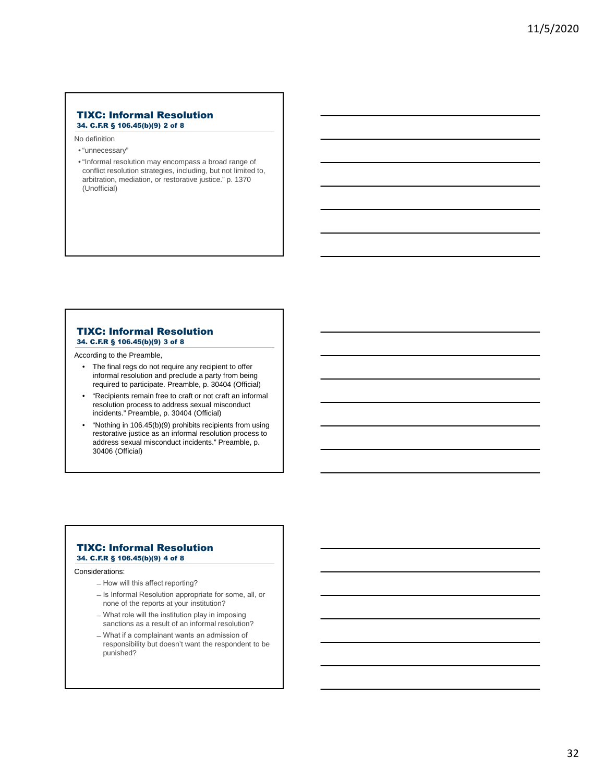#### TIXC: Informal Resolution 34. C.F.R § 106.45(b)(9) 2 of 8

No definition

- "unnecessary"
- "Informal resolution may encompass a broad range of conflict resolution strategies, including, but not limited to, arbitration, mediation, or restorative justice." p. 1370 (Unofficial)

#### TIXC: Informal Resolution 34. C.F.R § 106.45(b)(9) 3 of 8

According to the Preamble,

- The final regs do not require any recipient to offer informal resolution and preclude a party from being required to participate. Preamble, p. 30404 (Official)
- "Recipients remain free to craft or not craft an informal resolution process to address sexual misconduct incidents." Preamble, p. 30404 (Official)
- "Nothing in 106.45(b)(9) prohibits recipients from using restorative justice as an informal resolution process to address sexual misconduct incidents." Preamble, p. 30406 (Official)

#### TIXC: Informal Resolution 34. C.F.R § 106.45(b)(9) 4 of 8

#### Considerations:

- How will this affect reporting?
- $-$  Is Informal Resolution appropriate for some, all, or none of the reports at your institution?
- ̶What role will the institution play in imposing sanctions as a result of an informal resolution?
- ̶What if a complainant wants an admission of responsibility but doesn't want the respondent to be punished?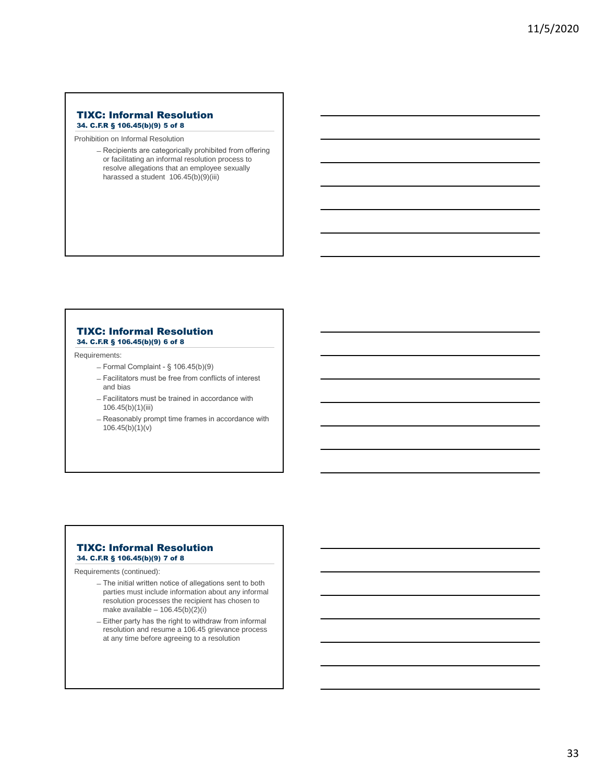#### TIXC: Informal Resolution 34. C.F.R § 106.45(b)(9) 5 of 8

Prohibition on Informal Resolution

̶Recipients are categorically prohibited from offering or facilitating an informal resolution process to resolve allegations that an employee sexually harassed a student 106.45(b)(9)(iii)

### TIXC: Informal Resolution 34. C.F.R § 106.45(b)(9) 6 of 8

Requirements:

- $-$  Formal Complaint § 106.45(b)(9)
- ̶Facilitators must be free from conflicts of interest and bias
- ̶Facilitators must be trained in accordance with 106.45(b)(1)(iii)
- ̶Reasonably prompt time frames in accordance with  $106.45(b)(1)(v)$

### TIXC: Informal Resolution 34. C.F.R § 106.45(b)(9) 7 of 8

Requirements (continued):

- ̶The initial written notice of allegations sent to both parties must include information about any informal resolution processes the recipient has chosen to make available  $-106.45(b)(2)(i)$
- ̶Either party has the right to withdraw from informal resolution and resume a 106.45 grievance process at any time before agreeing to a resolution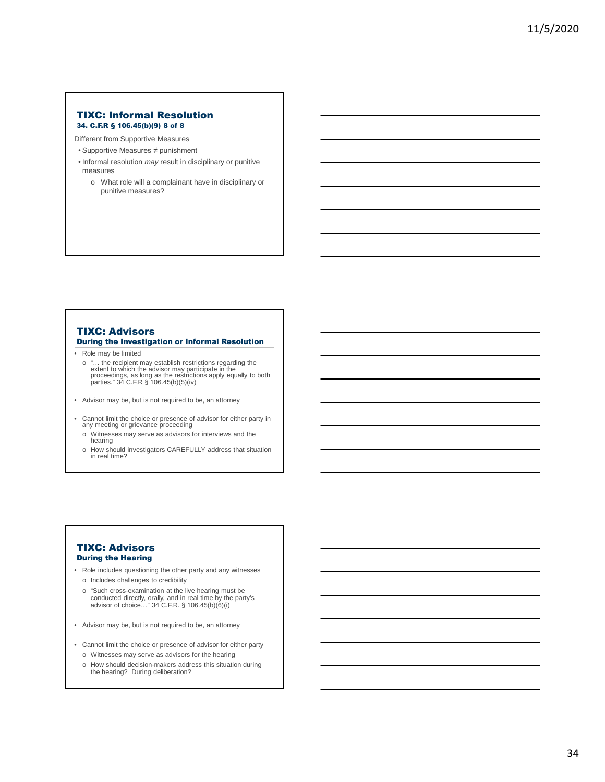#### TIXC: Informal Resolution 34. C.F.R § 106.45(b)(9) 8 of 8

Different from Supportive Measures

- Supportive Measures ≠ punishment
- Informal resolution *may* result in disciplinary or punitive measures
	- o What role will a complainant have in disciplinary or punitive measures?

## TIXC: Advisors

During the Investigation or Informal Resolution

- Role may be limited
	- o "… the recipient may establish restrictions regarding the extent to which the advisor may participate in the proceedings, as long as the restrictions apply equally to both parties." 34 C.F.R § 106.45(b)(5)(iv)
- Advisor may be, but is not required to be, an attorney
- Cannot limit the choice or presence of advisor for either party in any meeting or grievance proceeding
	- o Witnesses may serve as advisors for interviews and the hearing
	- o How should investigators CAREFULLY address that situation in real time?

### TIXC: Advisors During the Hearing

- Role includes questioning the other party and any witnesses o Includes challenges to credibility
	- o "Such cross-examination at the live hearing must be conducted directly, orally, and in real time by the party's advisor of choice…" 34 C.F.R. § 106.45(b)(6)(i)
- Advisor may be, but is not required to be, an attorney
- Cannot limit the choice or presence of advisor for either party
	- o Witnesses may serve as advisors for the hearing
	- o How should decision-makers address this situation during the hearing? During deliberation?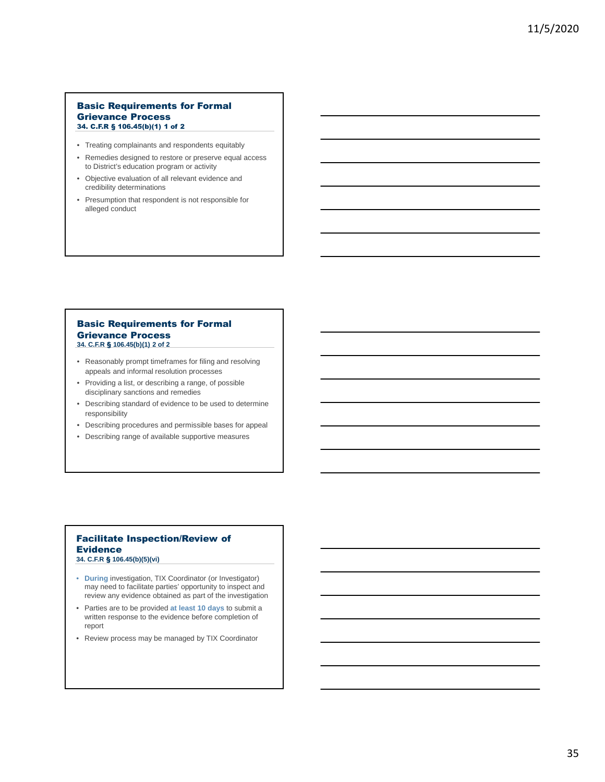#### Basic Requirements for Formal Grievance Process 34. C.F.R § 106.45(b)(1) 1 of 2

- Treating complainants and respondents equitably
- Remedies designed to restore or preserve equal access to District's education program or activity
- Objective evaluation of all relevant evidence and credibility determinations
- Presumption that respondent is not responsible for alleged conduct

#### Basic Requirements for Formal Grievance Process **34. C.F.R** § **106.45(b)(1) 2 of 2**

- Reasonably prompt timeframes for filing and resolving appeals and informal resolution processes
- Providing a list, or describing a range, of possible disciplinary sanctions and remedies
- Describing standard of evidence to be used to determine responsibility
- Describing procedures and permissible bases for appeal
- Describing range of available supportive measures

## Facilitate Inspection/Review of Evidence

**34. C.F.R** § **106.45(b)(5)(vi)**

- **During** investigation, TIX Coordinator (or Investigator) may need to facilitate parties' opportunity to inspect and review any evidence obtained as part of the investigation
- Parties are to be provided **at least 10 days** to submit a written response to the evidence before completion of report
- Review process may be managed by TIX Coordinator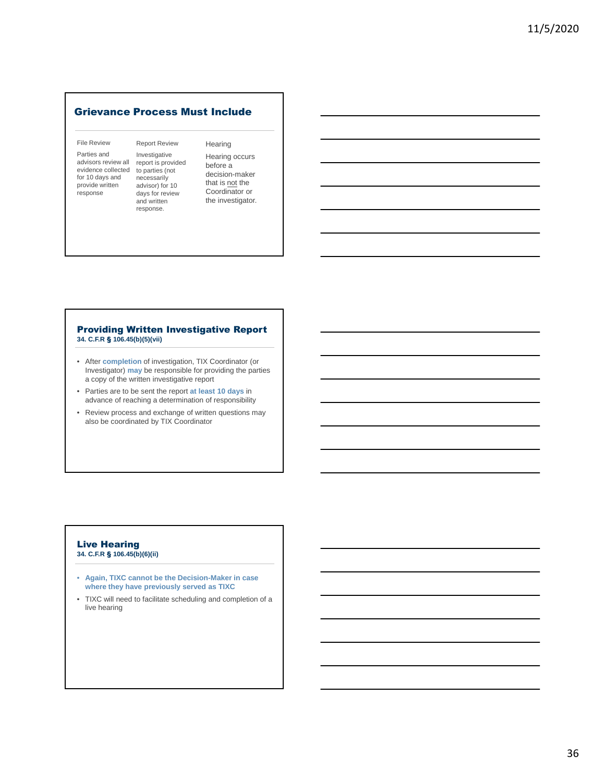## Grievance Process Must Include

#### File Review

Parties and advisors review all evidence collected for 10 days and provide written response

Report Review Investigative report is provided to parties (not necessarily advisor) for 10 days for review and written response.

#### **Hearing** Hearing occurs before a decision-maker that is **not** the Coordinator or the investigator.

### Providing Written Investigative Report **34. C.F.R** § **106.45(b)(5)(vii)**

- After **completion** of investigation, TIX Coordinator (or Investigator) **may** be responsible for providing the parties a copy of the written investigative report
- Parties are to be sent the report **at least 10 days** in advance of reaching a determination of responsibility
- Review process and exchange of written questions may also be coordinated by TIX Coordinator

#### Live Hearing **34. C.F.R** § **106.45(b)(6)(ii)**

- **Again, TIXC cannot be the Decision-Maker in case where they have previously served as TIXC**
- TIXC will need to facilitate scheduling and completion of a live hearing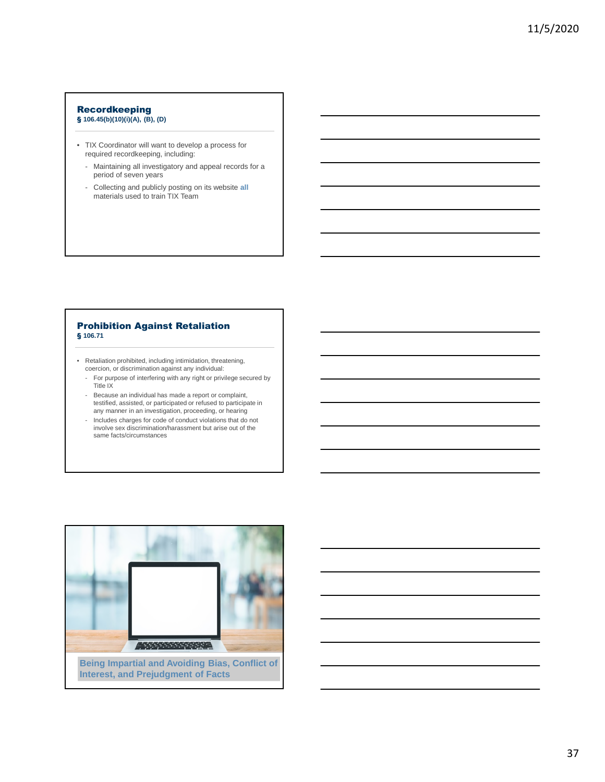## Recordkeeping

## § **106.45(b)(10)(i)(A), (B), (D)**

- TIX Coordinator will want to develop a process for required recordkeeping, including:
	- Maintaining all investigatory and appeal records for a period of seven years
	- Collecting and publicly posting on its website **all** materials used to train TIX Team

#### Prohibition Against Retaliation § **106.71**

- Retaliation prohibited, including intimidation, threatening, coercion, or discrimination against any individual:
	- For purpose of interfering with any right or privilege secured by Title IX
	- Because an individual has made a report or complaint, testified, assisted, or participated or refused to participate in any manner in an investigation, proceeding, or hearing
	- Includes charges for code of conduct violations that do not involve sex discrimination/harassment but arise out of the same facts/circumstances

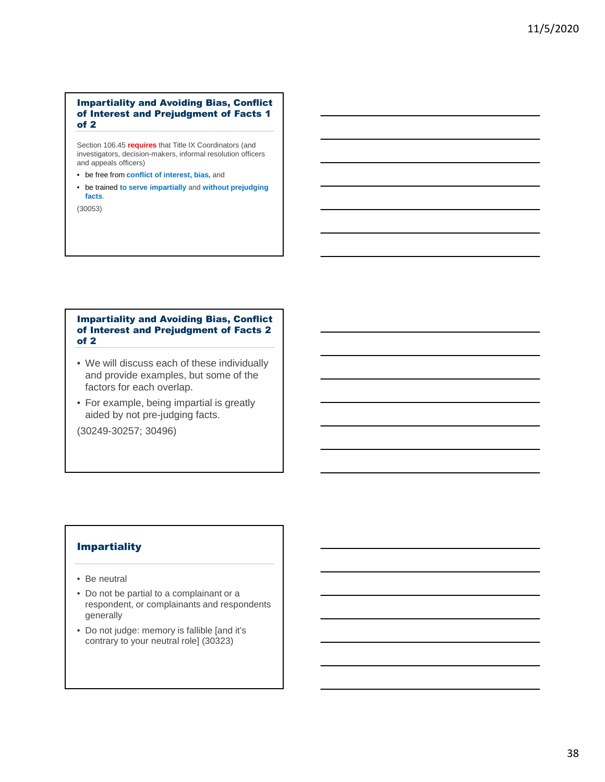## Impartiality and Avoiding Bias, Conflict of Interest and Prejudgment of Facts 1 of 2

Section 106.45 **requires** that Title IX Coordinators (and investigators, decision-makers, informal resolution officers and appeals officers)

- be free from **conflict of interest, bias,** and
- be trained **to serve impartially** and **without prejudging facts**.

(30053)

## Impartiality and Avoiding Bias, Conflict of Interest and Prejudgment of Facts 2 of 2

- We will discuss each of these individually and provide examples, but some of the factors for each overlap.
- For example, being impartial is greatly aided by not pre-judging facts.

(30249-30257; 30496)

## Impartiality

- Be neutral
- Do not be partial to a complainant or a respondent, or complainants and respondents generally
- Do not judge: memory is fallible [and it's contrary to your neutral role] (30323)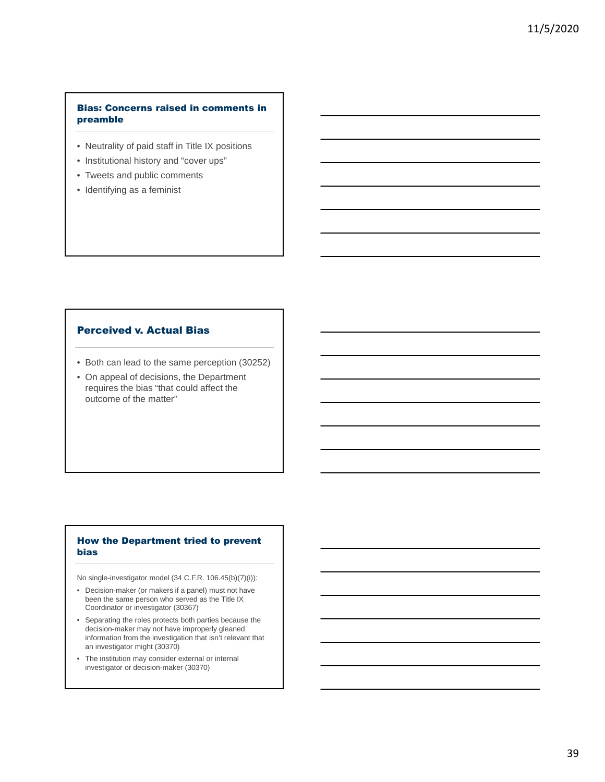## Bias: Concerns raised in comments in preamble

- Neutrality of paid staff in Title IX positions
- Institutional history and "cover ups"
- Tweets and public comments
- Identifying as a feminist

## Perceived v. Actual Bias

- Both can lead to the same perception (30252)
- On appeal of decisions, the Department requires the bias "that could affect the outcome of the matter"

## How the Department tried to prevent bias

No single-investigator model (34 C.F.R. 106.45(b)(7)(i)):

- Decision-maker (or makers if a panel) must not have been the same person who served as the Title IX Coordinator or investigator (30367)
- Separating the roles protects both parties because the decision-maker may not have improperly gleaned information from the investigation that isn't relevant that an investigator might (30370)
- The institution may consider external or internal investigator or decision-maker (30370)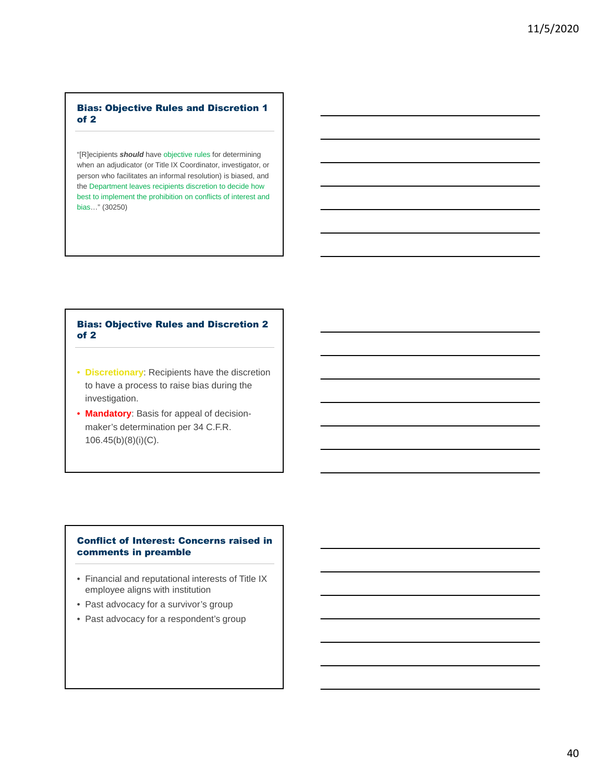## Bias: Objective Rules and Discretion 1 of 2

"[R]ecipients *should* have objective rules for determining when an adjudicator (or Title IX Coordinator, investigator, or person who facilitates an informal resolution) is biased, and the Department leaves recipients discretion to decide how best to implement the prohibition on conflicts of interest and bias…" (30250)

## Bias: Objective Rules and Discretion 2 of 2

- **Discretionary**: Recipients have the discretion to have a process to raise bias during the investigation.
- **Mandatory**: Basis for appeal of decisionmaker's determination per 34 C.F.R. 106.45(b)(8)(i)(C).

## Conflict of Interest: Concerns raised in comments in preamble

- Financial and reputational interests of Title IX employee aligns with institution
- Past advocacy for a survivor's group
- Past advocacy for a respondent's group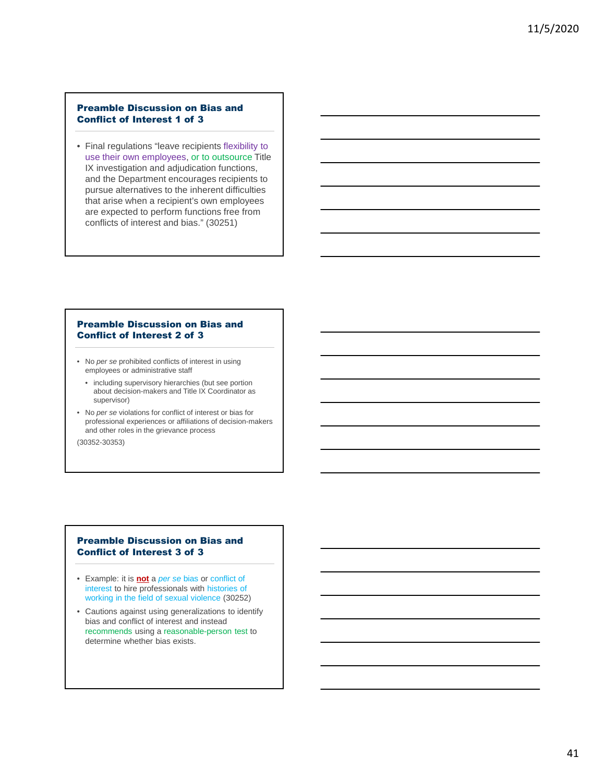## Preamble Discussion on Bias and Conflict of Interest 1 of 3

• Final regulations "leave recipients flexibility to use their own employees, or to outsource Title IX investigation and adjudication functions, and the Department encourages recipients to pursue alternatives to the inherent difficulties that arise when a recipient's own employees are expected to perform functions free from conflicts of interest and bias." (30251)

## Preamble Discussion on Bias and Conflict of Interest 2 of 3

- No *per se* prohibited conflicts of interest in using employees or administrative staff
	- including supervisory hierarchies (but see portion about decision-makers and Title IX Coordinator as supervisor)
- No *per se* violations for conflict of interest or bias for professional experiences or affiliations of decision-makers and other roles in the grievance process

(30352-30353)

## Preamble Discussion on Bias and Conflict of Interest 3 of 3

- Example: it is **not** a *per se* bias or conflict of interest to hire professionals with histories of working in the field of sexual violence (30252)
- Cautions against using generalizations to identify bias and conflict of interest and instead recommends using a reasonable-person test to determine whether bias exists.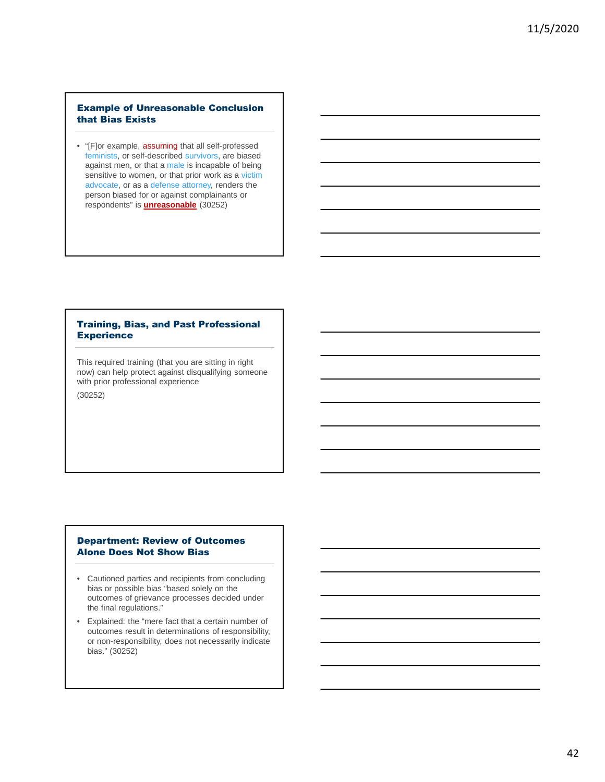## Example of Unreasonable Conclusion that Bias Exists

• "[F]or example, assuming that all self-professed feminists, or self-described survivors, are biased against men, or that a male is incapable of being sensitive to women, or that prior work as a victim advocate, or as a defense attorney, renders the person biased for or against complainants or respondents" is **unreasonable** (30252)

## Training, Bias, and Past Professional **Experience**

This required training (that you are sitting in right now) can help protect against disqualifying someone with prior professional experience

(30252)

### Department: Review of Outcomes Alone Does Not Show Bias

- Cautioned parties and recipients from concluding bias or possible bias "based solely on the outcomes of grievance processes decided under the final regulations."
- Explained: the "mere fact that a certain number of outcomes result in determinations of responsibility, or non-responsibility, does not necessarily indicate bias." (30252)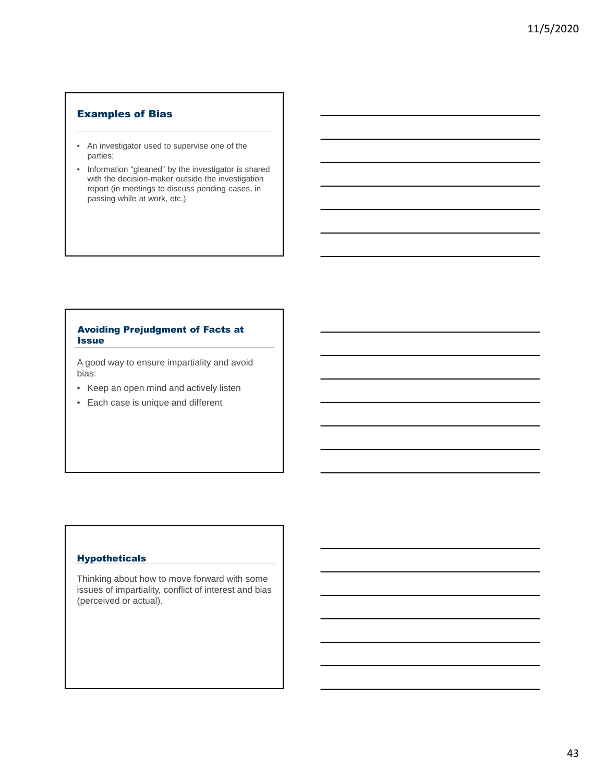## Examples of Bias

- An investigator used to supervise one of the parties;
- Information "gleaned" by the investigator is shared with the decision-maker outside the investigation report (in meetings to discuss pending cases, in passing while at work, etc.)

## Avoiding Prejudgment of Facts at **Issue**

A good way to ensure impartiality and avoid bias:

- Keep an open mind and actively listen
- Each case is unique and different

## Hypotheticals

Thinking about how to move forward with some issues of impartiality, conflict of interest and bias (perceived or actual).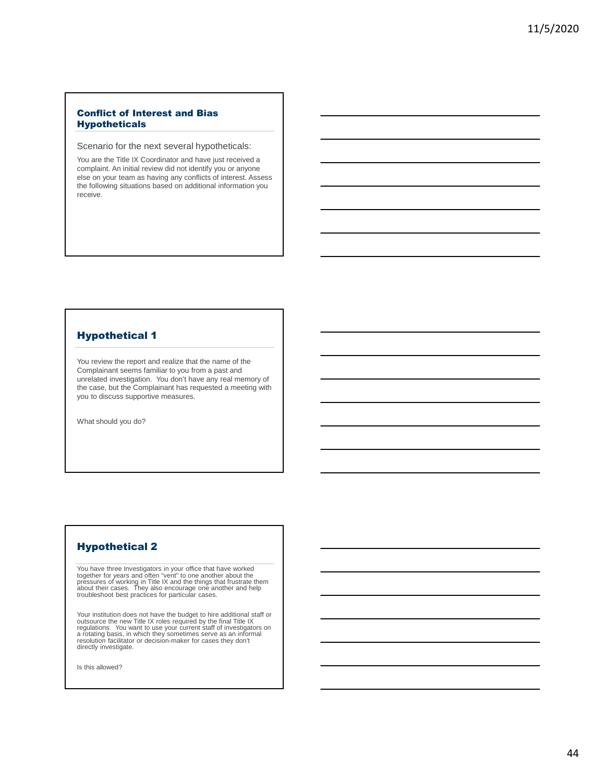## Conflict of Interest and Bias Hypotheticals

Scenario for the next several hypotheticals:

You are the Title IX Coordinator and have just received a complaint. An initial review did not identify you or anyone else on your team as having any conflicts of interest. Assess the following situations based on additional information you receive.

## Hypothetical 1

You review the report and realize that the name of the Complainant seems familiar to you from a past and unrelated investigation. You don't have any real memory of the case, but the Complainant has requested a meeting with you to discuss supportive measures.

What should you do?

## Hypothetical 2

You have three Investigators in your office that have worked together for years and often "vent" to one another about the<br>pressures of working in Title IX and the things that frustrate them<br>about their cases. They also encourage one another and help<br>troubleshoot best practices for p

Your institution does not have the budget to hire additional staff or<br>outsource the new Title IX roles required by the final Title IX<br>regulations. You want to use your current staff of investigators on<br>a rotating basis, in resolution facilitator or decision-maker for cases they don't directly investigate.

Is this allowed?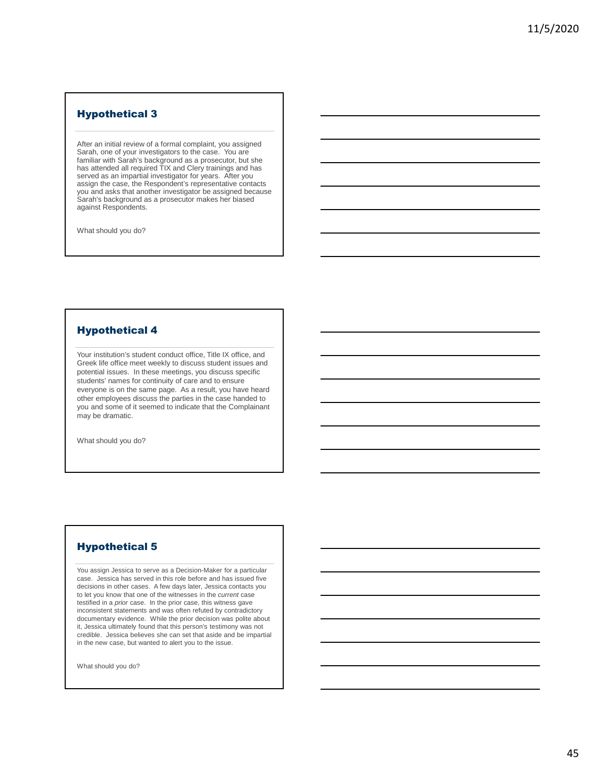## Hypothetical 3

After an initial review of a formal complaint, you assigned Sarah, one of your investigators to the case. You are familiar with Sarah's background as a prosecutor, but she has attended all required TIX and Clery trainings and has served as an impartial investigator for years. After you assign the case, the Respondent's representative contacts you and asks that another investigator be assigned because Sarah's background as a prosecutor makes her biased against Respondents.

What should you do?

## Hypothetical 4

Your institution's student conduct office, Title IX office, and Greek life office meet weekly to discuss student issues and potential issues. In these meetings, you discuss specific students' names for continuity of care and to ensure everyone is on the same page. As a result, you have heard other employees discuss the parties in the case handed to you and some of it seemed to indicate that the Complainant may be dramatic.

What should you do?

## Hypothetical 5

You assign Jessica to serve as a Decision-Maker for a particular case. Jessica has served in this role before and has issued five decisions in other cases. A few days later, Jessica contacts you to let you know that one of the witnesses in the *current* case testified in a *prior* case. In the prior case, this witness gave inconsistent statements and was often refuted by contradictory documentary evidence. While the prior decision was polite about it, Jessica ultimately found that this person's testimony was not credible. Jessica believes she can set that aside and be impartial in the new case, but wanted to alert you to the issue.

What should you do?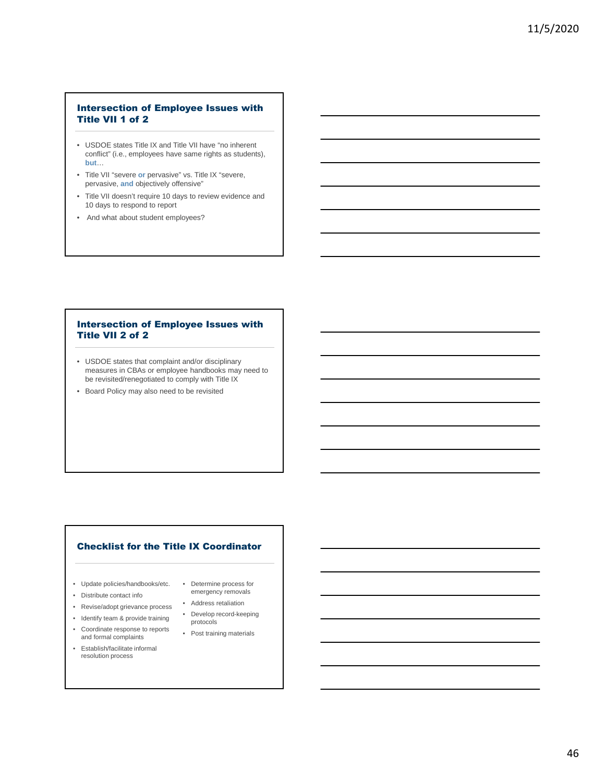## Intersection of Employee Issues with Title VII 1 of 2

- USDOE states Title IX and Title VII have "no inherent conflict" (i.e., employees have same rights as students), **but**…
- Title VII "severe **or** pervasive" vs. Title IX "severe, pervasive, **and** objectively offensive"
- Title VII doesn't require 10 days to review evidence and 10 days to respond to report
- And what about student employees?

## Intersection of Employee Issues with Title VII 2 of 2

- USDOE states that complaint and/or disciplinary measures in CBAs or employee handbooks may need to be revisited/renegotiated to comply with Title IX
- Board Policy may also need to be revisited

## Checklist for the Title IX Coordinator

- Update policies/handbooks/etc.
- Distribute contact info
- Revise/adopt grievance process
- Identify team & provide training
- Coordinate response to reports
- and formal complaints
- Establish/facilitate informal resolution process
- Determine process for emergency removals
- Address retaliation
- Develop record-keeping
- protocols • Post training materials

46